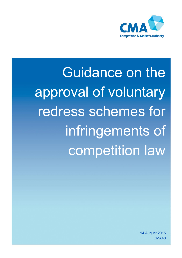

Guidance on the approval of voluntary redress schemes for infringements of competition law

> 14 August 2015 CMA40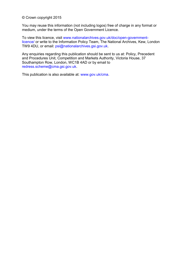© Crown copyright 2015

You may reuse this information (not including logos) free of charge in any format or medium, under the terms of the Open Government Licence.

To view this licence, visit [www.nationalarchives.gov.uk/doc/open-government](http://www.nationalarchives.gov.uk/doc/open-government-licence/)[licence/](http://www.nationalarchives.gov.uk/doc/open-government-licence/) or write to the Information Policy Team, The National Archives, Kew, London TW9 4DU, or email: [psi@nationalarchives.gsi.gov.uk.](mailto:psi@nationalarchives.gsi.gov.uk)

Any enquiries regarding this publication should be sent to us at: Policy, Precedent and Procedures Unit, Competition and Markets Authority, Victoria House, 37 Southampton Row, London, WC1B 4AD or by email to [redress.scheme@cma.gsi.gov.uk.](mailto:redress.scheme@cma.gsi.gov.uk)

This publication is also available at: [www.gov.uk/cma.](http://www.gov.uk/cma)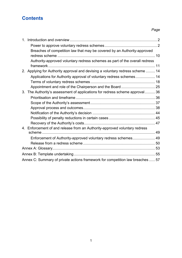## **Contents**

## *Page*

| $1_{-}$ |                                                                                |  |
|---------|--------------------------------------------------------------------------------|--|
|         |                                                                                |  |
|         | Breaches of competition law that may be covered by an Authority-approved       |  |
|         |                                                                                |  |
|         | Authority-approved voluntary redress schemes as part of the overall redress    |  |
|         |                                                                                |  |
|         | 2. Applying for Authority approval and devising a voluntary redress scheme  14 |  |
|         | Applications for Authority approval of voluntary redress schemes 14            |  |
|         |                                                                                |  |
|         |                                                                                |  |
| 3.      | The Authority's assessment of applications for redress scheme approval36       |  |
|         |                                                                                |  |
|         |                                                                                |  |
|         |                                                                                |  |
|         |                                                                                |  |
|         |                                                                                |  |
|         |                                                                                |  |
|         | 4. Enforcement of and release from an Authority-approved voluntary redress     |  |
|         |                                                                                |  |
|         | Enforcement of Authority-approved voluntary redress schemes 49                 |  |
|         |                                                                                |  |
|         |                                                                                |  |
|         |                                                                                |  |
|         | Annex C: Summary of private actions framework for competition law breaches  57 |  |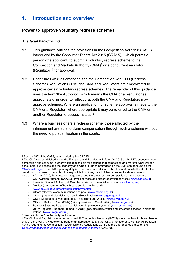## <span id="page-3-0"></span>**1. Introduction and overview**

### <span id="page-3-1"></span>**Power to approve voluntary redress schemes**

#### *The legal background*

- 1.1 This guidance outlines the provisions in the Competition Act 1998 (CA98), introduced by the Consumer Rights Act 2015 (CRA15),<sup>1</sup> which permit a person (the applicant) to submit a voluntary redress scheme to the Competition and Markets Authority (CMA)<sup>2</sup> or a concurrent regulator (Regulator)  $3$  for approval.
- <span id="page-3-2"></span>1.2 Under the CA98 as amended and the Competition Act 1998 (Redress Scheme) Regulations 2015, the CMA and Regulators are empowered to approve certain voluntary redress schemes. The remainder of this guidance uses the term 'the Authority' (which means the CMA or a Regulator as appropriate),<sup>4</sup> in order to reflect that both the CMA and Regulators may approve schemes. Where an application for scheme approval is made to the CMA or a Regulator, where appropriate it may be referred to the CMA or another Regulator to assess instead.<sup>5</sup>
- 1.3 Where a business offers a redress scheme, those affected by the infringement are able to claim compensation through such a scheme without the need to pursue litigation in the courts.

- Civil Aviation Authority (CAA) (air traffic services and airport operation services) [\(www.caa.co.uk\)](http://www.caa.co.uk/www.caa.co.uk)
- Financial Conduct Authority (FCA) (the provision of financial services) [\(www.fca.org.uk\)](http://www.fca.org.uk/)
- Monitor (the provision of health-care services in England) [\(www.gov.uk/government/organisations/monitor\)](http://www.gov.uk/government/organisations/monitor)
- Ofcom (electronic communications and post) [\(www.ofcom.org.uk\)](http://www.ofcom.org.uk/)
- Ofgem (gas and electricity markets in Great Britain) [\(www.ofgem.gov.uk\)](http://www.ofgem.gov.uk/)
- Ofwat (water and sewerage markets in England and Wales) [\(www.ofwat.gov.uk\)](http://www.ofwat.gov.uk/)

<sup>&</sup>lt;sup>1</sup> Section 49C of the CA98, as amended by the CRA15.

 $^2$  The CMA was established under the Enterprise and Regulatory Reform Act 2013 as the UK's economy-wide competition and consumer authority. It is responsible for ensuring that competition and markets work well for consumers, businesses and the economy as a whole. Further information on the CMA can be found on the [CMA's webpages.](http://www.gov.uk/cma) The CMA's primary duty is to promote competition, both within and outside the UK, for the benefit of consumers. To enable it to carry out its functions, the CMA has a range of statutory powers. <sup>3</sup> As at 13 August 2015, the concurrent regulators, and the scope of their competition concurrency, are:

Office of Rail and Road (ORR) (railway services in Great Britain) [\(www.orr.gov.uk\)](http://www.orr.gov.uk/)

Payment Systems Regulator (participation in payment systems) [\(www.psr.org.uk\)](http://www.psr.org.uk/)

Utility Regulator, Northern Ireland (NIAUR) (gas, electricity, water and sewerage services in Northern Ireland) [\(www.uregni.gov.uk\)](http://www.uregni.gov.uk/)

<sup>4</sup> See definition of 'the Authority' in Annex A.

 $^5$  The CMA and Regulators together form the UK Competition Network (UKCN), save that Monitor is an observer only of the UKCN. Any decision to transfer an application to another UKCN member or to Monitor will be taken having regard to the Competition Act Concurrency Regulations 2014 and the published guidance on the *[Concurrent application of competition law to regulated industries](https://www.gov.uk/government/publications/guidance-on-concurrent-application-of-competition-law-to-regulated-industries)* (CMA10).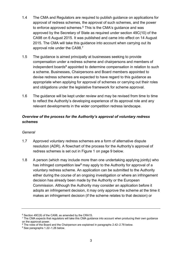- 1.4 The CMA and Regulators are required to publish guidance on applications for approval of redress schemes, the approval of such schemes, and the power to enforce approved schemes.<sup>6</sup> This is the CMA's guidance and was approved by the Secretary of State as required under section 49C(10) of the CA98 on 6 August 2015. It was published and came into effect on 14 August 2015. The CMA will take this guidance into account when carrying out its approval role under the CA98.<sup>7</sup>
- 1.5 The guidance is aimed principally at businesses seeking to provide compensation under a redress scheme and chairpersons and members of independent boards<sup>8</sup> appointed to determine compensation in relation to such a scheme. Businesses, Chairpersons and Board members appointed to devise redress schemes are expected to have regard to this guidance as appropriate when applying for approval of schemes or carrying out their roles and obligations under the legislative framework for scheme approval.
- 1.6 The guidance will be kept under review and may be revised from time to time to reflect the Authority's developing experience of its approval role and any relevant developments in the wider competition redress landscape.

### *Overview of the process for the Authority's approval of voluntary redress schemes*

#### *General*

- 1.7 Approved voluntary redress schemes are a form of alternative dispute resolution (ADR). A flowchart of the process for the Authority's approval of redress schemes is set out in Figure 1 on page 9 below.
- 1.8 A person (which may include more than one undertaking applying jointly) who has infringed competition law<sup>9</sup> may apply to the Authority for approval of a voluntary redress scheme. An application can be submitted to the Authority either during the course of an ongoing investigation or where an infringement decision has already been made by the Authority or the European Commission. Although the Authority may consider an application before it adopts an infringement decision, it may only approve the scheme at the time it makes an infringement decision (if the scheme relates to that decision) or

<sup>6</sup> Section 49C(9) of the CA98, as amended by the CRA15.

<sup>7</sup> The CMA expects that regulators will take this CMA guidance into account when producing their own guidance on the approval power.

<sup>8</sup> The roles of the Board and the Chairperson are explained in paragraphs [2.42](#page-26-1)[–2.78](#page-36-0) below.

<sup>&</sup>lt;sup>9</sup> See paragraphs [1.22](#page-11-1)[–1.26](#page-12-1) below.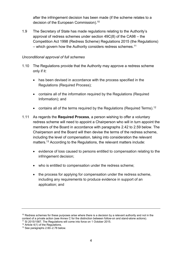after the infringement decision has been made (if the scheme relates to a decision of the European Commission).<sup>10</sup>

1.9 The Secretary of State has made regulations relating to the Authority's approval of redress schemes under section 49C(8) of the CA98 – the Competition Act 1998 (Redress Scheme) Regulations 2015 (the Regulations) – which govern how the Authority considers redress schemes.<sup>11</sup>

#### *Unconditional approval of full schemes*

- 1.10 The Regulations provide that the Authority may approve a redress scheme only if it:
	- has been devised in accordance with the process specified in the Regulations (Required Process);
	- contains all of the information required by the Regulations (Required Information); and
	- contains all of the terms required by the Regulations (Required Terms).<sup>12</sup>
- 1.11 As regards the **Required Process**, a person wishing to offer a voluntary redress scheme will need to appoint a Chairperson who will in turn appoint the members of the Board in accordance with paragraphs [2.42](#page-26-1) to [2.59](#page-30-0) below. The Chairperson and the Board will then devise the terms of the redress scheme, including the level of compensation, taking into consideration the relevant matters.<sup>13</sup> According to the Regulations, the relevant matters include:
	- evidence of loss caused to persons entitled to compensation relating to the infringement decision;
	- who is entitled to compensation under the redress scheme;
	- the process for applying for compensation under the redress scheme, including any requirements to produce evidence in support of an application; and

 $10$  Redress schemes for these purposes arise where there is a decision by a relevant authority and not in the context of a private action (see Annex C for the distinction between follow-on and stand-alone actions).

<sup>11</sup> SI 2015/1587. The Regulations will come into force on 1 October 2015.

<sup>&</sup>lt;sup>12</sup> Article 4(1) of the Regulations.

<sup>13</sup> See paragraph[s 2.60](#page-30-1)[–2.78](#page-36-0) below.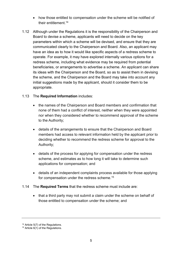- how those entitled to compensation under the scheme will be notified of their entitlement.<sup>14</sup>
- 1.12 Although under the Regulations it is the responsibility of the Chairperson and Board to devise a scheme, applicants will need to decide on the key parameters within which a scheme will be devised, and ensure that they are communicated clearly to the Chairperson and Board. Also, an applicant may have an idea as to how it would like specific aspects of a redress scheme to operate. For example, it may have explored internally various options for a redress scheme, including what evidence may be required from potential beneficiaries, or arrangements to advertise a scheme. An applicant can share its ideas with the Chairperson and the Board, so as to assist them in devising the scheme, and the Chairperson and the Board may take into account any initial suggestions made by the applicant, should it consider them to be appropriate.

#### 1.13 The **Required Information** includes:

- the names of the Chairperson and Board members and confirmation that none of them had a conflict of interest, neither when they were appointed nor when they considered whether to recommend approval of the scheme to the Authority;
- details of the arrangements to ensure that the Chairperson and Board members had access to relevant information held by the applicant prior to deciding whether to recommend the redress scheme for approval to the Authority;
- details of the process for applying for compensation under the redress scheme, and estimates as to how long it will take to determine such applications for compensation; and
- details of an independent complaints process available for those applying for compensation under the redress scheme.<sup>15</sup>
- 1.14 The **Required Terms** that the redress scheme must include are:
	- that a third party may not submit a claim under the scheme on behalf of those entitled to compensation under the scheme; and

<sup>&</sup>lt;sup>14</sup> Article 5(7) of the Regulations.

<sup>&</sup>lt;sup>15</sup> Article  $6(1)$  of the Regulations.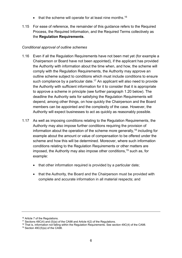- $\bullet$  that the scheme will operate for at least nine months.<sup>16</sup>
- 1.15 For ease of reference, the remainder of this guidance refers to the Required Process, the Required Information, and the Required Terms collectively as the **Regulation Requirements**.

#### *Conditional approval of outline schemes*

- <span id="page-7-0"></span>1.16 Even if all the Regulation Requirements have not been met yet (for example a Chairperson or Board have not been appointed), if the applicant has provided the Authority with information about the time when, and how, the scheme will comply with the Regulation Requirements, the Authority may approve an outline scheme subject to conditions which must include conditions to ensure such compliance by a particular date.<sup>17</sup> An applicant will also need to provide the Authority with sufficient information for it to consider that it is appropriate to approve a scheme in principle (see further paragraph [1.20](#page-8-0) below). The deadline the Authority sets for satisfying the Regulation Requirements will depend, among other things, on how quickly the Chairperson and the Board members can be appointed and the complexity of the case. However, the Authority will expect businesses to act as quickly as reasonably possible.
- 1.17 As well as imposing conditions relating to the Regulation Requirements, the Authority may also impose further conditions requiring the provision of information about the operation of the scheme more generally,  $18$  including for example about the amount or value of compensation to be offered under the scheme and how this will be determined. Moreover, where such information conditions relating to the Regulation Requirements or other matters are imposed, the Authority may also impose other conditions, <sup>19</sup> such as, for example:
	- that other information required is provided by a particular date;
	- that the Authority, the Board and the Chairperson must be provided with complete and accurate information in all material respects; and

<sup>&</sup>lt;sup>16</sup> Article 7 of the Regulations.

<sup>&</sup>lt;sup>17</sup> Sections  $49C(4)$  and  $(5)(a)$  of the CA98 and Article  $4(2)$  of the Regulations.

<sup>&</sup>lt;sup>18</sup> That is, information not falling within the Regulation Requirements. See section 49C(4) of the CA98.

 $19$  Section 49C(5)(a) of the CA98.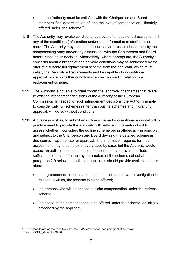- that the Authority must be satisfied with the Chairperson and Board members' final determination of, and the level of compensation ultimately offered under, the scheme.<sup>20</sup>
- 1.18 The Authority may revoke conditional approval of an outline redress scheme if any of the conditions (information and/or non-information related) are not met.<sup>21</sup> The Authority may take into account any representations made by the compensating party and/or any discussions with the Chairperson and Board before reaching its decision. Alternatively, where appropriate, the Authority's concerns about a breach of one or more conditions may be addressed by the offer of a suitable full replacement scheme from the applicant, which must satisfy the Regulation Requirements and be capable of unconditional approval, since no further conditions can be imposed in relation to a replacement scheme.
- 1.19 The Authority is not able to grant conditional approval of schemes that relate to existing infringement decisions of the Authority or the European Commission. In respect of such infringement decisions, the Authority is able to consider only full schemes rather than outline schemes and, if granting approval, will do so without conditions.
- <span id="page-8-0"></span>1.20 A business wishing to submit an outline scheme for conditional approval will in practice need to provide the Authority with sufficient information for it to assess whether it considers the outline scheme being offered is – in principle, and subject to the Chairperson and Board devising the detailed scheme in due course – appropriate for approval. The information required for that assessment may to some extent vary case by case, but the Authority would expect an outline scheme submitted for conditional approval to include sufficient information on the key parameters of the scheme set out at paragraph [2.9](#page-17-0) below. In particular, applicants should provide available details about:
	- the agreement or conduct, and the aspects of the relevant investigation in relation to which, the scheme is being offered;
	- the persons who will be entitled to claim compensation under the redress scheme;
	- the scope of the compensation to be offered under the scheme, as initially proposed by the applicant;

 $20$  For further details on the conditions that the CMA may impose, see paragraph [3.14 b](#page-41-0)elow.

 $21$  Section 49C(5)(b) of the CA98.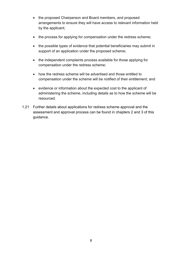- the proposed Chairperson and Board members, and proposed arrangements to ensure they will have access to relevant information held by the applicant;
- the process for applying for compensation under the redress scheme;
- the possible types of evidence that potential beneficiaries may submit in support of an application under the proposed scheme;
- the independent complaints process available for those applying for compensation under the redress scheme;
- how the redress scheme will be advertised and those entitled to compensation under the scheme will be notified of their entitlement; and
- evidence or information about the expected cost to the applicant of administering the scheme, including details as to how the scheme will be resourced.
- 1.21 Further details about applications for redress scheme approval and the assessment and approval process can be found in chapters [2](#page-15-0) and [3](#page-37-0) of this guidance.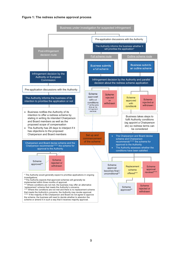#### Figure 1: The redress scheme approval process



scheme or amend it in such a way that it receives majority approval.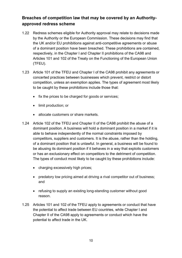## <span id="page-11-0"></span>**Breaches of competition law that may be covered by an Authorityapproved redress scheme**

- <span id="page-11-1"></span>1.22 Redress schemes eligible for Authority approval may relate to decisions made by the Authority or the European Commission. These decisions may find that the UK and/or EU prohibitions against anti-competitive agreements or abuse of a dominant position have been breached. These prohibitions are contained, respectively, in the Chapter I and Chapter II prohibitions of the CA98 and Articles 101 and 102 of the Treaty on the Functioning of the European Union (TFEU).
- 1.23 Article 101 of the TFEU and Chapter I of the CA98 prohibit any agreements or concerted practices between businesses which prevent, restrict or distort competition, unless an exemption applies. The types of agreement most likely to be caught by these prohibitions include those that:
	- fix the prices to be charged for goods or services;
	- limit production; or
	- allocate customers or share markets.
- 1.24 Article 102 of the TFEU and Chapter II of the CA98 prohibit the abuse of a dominant position. A business will hold a dominant position in a market if it is able to behave independently of the normal constraints imposed by competitors, suppliers and customers. It is the abuse, rather than the holding, of a dominant position that is unlawful. In general, a business will be found to be abusing its dominant position if it behaves in a way that exploits customers or has an exclusionary effect on competitors to the detriment of competition. The types of conduct most likely to be caught by these prohibitions include:
	- charging excessively high prices;
	- predatory low pricing aimed at driving a rival competitor out of business; and
	- refusing to supply an existing long-standing customer without good reason.
- 1.25 Articles 101 and 102 of the TFEU apply to agreements or conduct that have the potential to affect trade between EU countries, while Chapter I and Chapter II of the CA98 apply to agreements or conduct which have the potential to affect trade in the UK.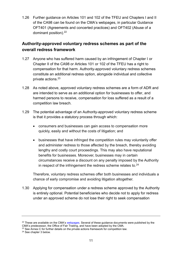<span id="page-12-1"></span>1.26 Further guidance on Articles 101 and 102 of the TFEU and Chapters I and II of the CA98 can be found on the CMA's webpages, in particular Guidance OFT401 (Agreements and concerted practices) and OFT402 (Abuse of a dominant position).<sup>22</sup>

## <span id="page-12-0"></span>**Authority-approved voluntary redress schemes as part of the overall redress framework**

- 1.27 Anyone who has suffered harm caused by an infringement of Chapter I or Chapter II of the CA98 or Articles 101 or 102 of the TFEU has a right to compensation for that harm. Authority-approved voluntary redress schemes constitute an additional redress option, alongside individual and collective private actions.<sup>23</sup>
- 1.28 As noted above, approved voluntary redress schemes are a form of ADR and are intended to serve as an additional option for businesses to offer, and harmed persons to receive, compensation for loss suffered as a result of a competition law breach.
- 1.29 The potential advantage of an Authority-approved voluntary redress scheme is that it provides a statutory process through which:
	- consumers and businesses can gain access to compensation more quickly, easily and without the costs of litigation; and
	- businesses that have infringed the competition rules may voluntarily offer and administer redress to those affected by the breach, thereby avoiding lengthy and costly court proceedings. This may also have reputational benefits for businesses. Moreover, businesses may in certain circumstances receive a discount on any penalty imposed by the Authority in respect of the infringement the redress scheme relates to.<sup>24</sup>

Therefore, voluntary redress schemes offer both businesses and individuals a chance of early compromise and avoiding litigation altogether.

1.30 Applying for compensation under a redress scheme approved by the Authority is entirely optional. Potential beneficiaries who decide not to apply for redress under an approved scheme do not lose their right to seek compensation

 $22$  These are available on the CMA'[s webpages.](https://www.gov.uk/government/collections/cma-ca98-and-cartels-guidance) Several of these guidance documents were published by the CMA's predecessor, the Office of Fair Trading, and have been adopted by the CMA.

<sup>&</sup>lt;sup>23</sup> See Annex C for further details on the private actions framework for competition law.

<sup>24</sup> See chapter [3](#page-37-0) below.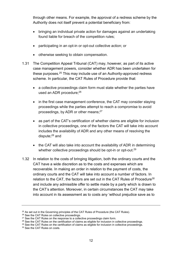through other means. For example, the approval of a redress scheme by the Authority does not itself prevent a potential beneficiary from:

- bringing an individual private action for damages against an undertaking found liable for breach of the competition rules;
- participating in an opt-in or opt-out collective action; or
- otherwise seeking to obtain compensation.
- <span id="page-13-0"></span>1.31 The Competition Appeal Tribunal (CAT) may, however, as part of its active case management powers, consider whether ADR has been undertaken for these purposes.<sup>25</sup> This may include use of an Authority-approved redress scheme. In particular, the CAT Rules of Procedure provide that:
	- a collective proceedings claim form must state whether the parties have used an ADR procedure: 26
	- in the first case management conference, the CAT may consider staying proceedings while the parties attempt to reach a compromise to avoid proceedings, by ADR or other means;<sup>27</sup>
	- as part of the CAT's certification of whether claims are eligible for inclusion in collective proceedings, one of the factors the CAT will take into account includes the availability of ADR and any other means of resolving the dispute;<sup>28</sup> and
	- the CAT will also take into account the availability of ADR in determining whether collective proceedings should be opt-in or opt-out.<sup>29</sup>
- 1.32 In relation to the costs of bringing litigation, both the ordinary courts and the CAT have a wide discretion as to the costs and expenses which are recoverable. In making an order in relation to the payment of costs, the ordinary courts and the CAT will take into account a number of factors. In relation to the CAT, the factors are set out in the CAT Rules of Procedure<sup>30</sup> and include any admissible offer to settle made by a party which is drawn to the CAT's attention. Moreover, in certain circumstances the CAT may take into account in its assessment as to costs any 'without prejudice save as to

<sup>&</sup>lt;sup>25</sup> As set out in the Governing principles of the CAT Rules of Procedure (the CAT Rules).

<sup>&</sup>lt;sup>26</sup> See the CAT Rules on collective proceedings.

 $27$  See the CAT Rules on the response to a collective proceedings claim form.

<sup>&</sup>lt;sup>28</sup> See the CAT Rules on the certification of claims as eligible for inclusion in collective proceedings.

<sup>&</sup>lt;sup>29</sup> See the CAT Rules on the certification of claims as eligible for inclusion in collective proceedings.

<sup>30</sup> See the CAT Rules on costs.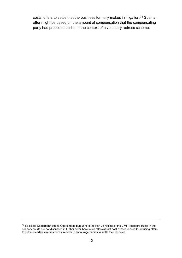costs' offers to settle that the business formally makes in litigation.<sup>31</sup> Such an offer might be based on the amount of compensation that the compensating party had proposed earlier in the context of a voluntary redress scheme.

<sup>&</sup>lt;sup>31</sup> So-called Calderbank offers. Offers made pursuant to the Part 36 regime of the Civil Procedure Rules in the ordinary courts are not discussed in further detail here; such offers attract cost consequences for refusing offers to settle in certain circumstances in order to encourage parties to settle their disputes.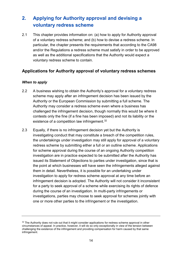## <span id="page-15-0"></span>**2. Applying for Authority approval and devising a voluntary redress scheme**

2.1 This chapter provides information on: (a) how to apply for Authority approval of a voluntary redress scheme; and (b) how to devise a redress scheme. In particular, the chapter presents the requirements that according to the CA98 and/or the Regulations a redress scheme must satisfy in order to be approved as well as the additional specifications that the Authority would expect a voluntary redress scheme to contain.

## <span id="page-15-1"></span>**Applications for Authority approval of voluntary redress schemes**

#### *When to apply*

- 2.2 A business wishing to obtain the Authority's approval for a voluntary redress scheme may apply after an infringement decision has been issued by the Authority or the European Commission by submitting a full scheme. The Authority may consider a redress scheme even where a business has challenged the infringement decision, though normally this would be where it contests only the fine (if a fine has been imposed) and not its liability or the existence of a competition law infringement.<sup>32</sup>
- 2.3 Equally, if there is no infringement decision yet but the Authority is investigating conduct that may constitute a breach of the competition rules, the undertakings under investigation may still apply for approval of a voluntary redress scheme by submitting either a full or an outline scheme. Applications for scheme approval during the course of an ongoing Authority competition investigation are in practice expected to be submitted after the Authority has issued its Statement of Objections to parties under investigation, since that is the point at which businesses will have seen the infringements alleged against them in detail. Nevertheless, it is possible for an undertaking under investigation to apply for redress scheme approval at any time before an infringement decision is adopted. The Authority will not consider it inconsistent for a party to seek approval of a scheme while exercising its rights of defence during the course of an investigation. In multi-party infringements or investigations, parties may choose to seek approval for schemes jointly with one or more other parties to the infringement or the investigation.

<sup>&</sup>lt;sup>32</sup> The Authority does not rule out that it might consider applications for redress scheme approval in other circumstances of appeal. In practice, however, it will do so only exceptionally in view of the tension between challenging the existence of the infringement and providing compensation for harm caused by that same infringement.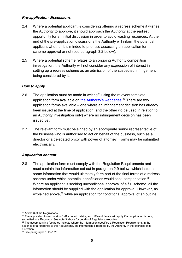#### *Pre-application discussions*

- 2.4 Where a potential applicant is considering offering a redress scheme it wishes the Authority to approve, it should approach the Authority at the earliest opportunity for an initial discussion in order to avoid wasting resources. At the end of the pre-application discussions the Authority will inform the potential applicant whether it is minded to prioritise assessing an application for scheme approval or not (see paragraph [3.2](#page-37-2) below).
- 2.5 Where a potential scheme relates to an ongoing Authority competition investigation, the Authority will not consider any expression of interest in setting up a redress scheme as an admission of the suspected infringement being considered by it.

#### *How to apply*

- 2.6 The application must be made in writing<sup>33</sup> using the relevant template application form available on [the Authority's webpages.](https://www.gov.uk/government/publications/approval-of-redress-schemes-for-competition-law-infringements)<sup>34</sup> There are two application forms available – one where an infringement decision has already been issued at the time of application, and the other (to be used in relation to an Authority investigation only) where no infringement decision has been issued yet.
- 2.7 The relevant form must be signed by an appropriate senior representative of the business who is authorised to act on behalf of the business, such as a director or a delegated proxy with power of attorney. Forms may be submitted electronically.

#### *Application content*

<span id="page-16-0"></span>2.8 The application form must comply with the Regulation Requirements and must contain the information set out in paragraph [2.9](#page-17-0) below, which includes some information that would ultimately form part of the final terms of a redress scheme under which potential beneficiaries would seek compensation.<sup>35</sup> Where an applicant is seeking unconditional approval of a full scheme, all the information should be supplied with the application for approval. However, as explained above,<sup>36</sup> while an application for conditional approval of an outline

<sup>33</sup> Article 3 of the Regulations.

 $34$  The application form contains CMA contact details, and different details will apply if an application is being submitted to a Regulator. See not[e 3](#page-3-2) above for details of Regulators' websites.

<sup>&</sup>lt;sup>35</sup> The accompanying footnotes indicate where the information specified a Regulation Requirement. In the absence of a reference to the Regulations, the information is required by the Authority in the exercise of its discretion.

<sup>36</sup> See paragraph[s 1.16](#page-7-0)[–1.20.](#page-8-0)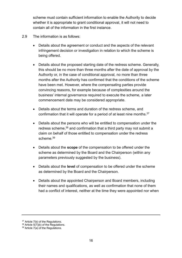scheme must contain sufficient information to enable the Authority to decide whether it is appropriate to grant conditional approval, it will not need to contain all of the information in the first instance.

- <span id="page-17-0"></span>2.9 The information is as follows:
	- Details about the agreement or conduct and the aspects of the relevant infringement decision or investigation in relation to which the scheme is being offered.
	- Details about the proposed starting date of the redress scheme. Generally, this should be no more than three months after the date of approval by the Authority or, in the case of conditional approval, no more than three months after the Authority has confirmed that the conditions of the scheme have been met. However, where the compensating parties provide convincing reasons, for example because of complexities around the business' internal governance required to execute the scheme, a later commencement date may be considered appropriate.
	- Details about the terms and duration of the redress scheme, and confirmation that it will operate for a period of at least nine months.<sup>37</sup>
	- Details about the persons who will be entitled to compensation under the redress scheme,<sup>38</sup> and confirmation that a third party may not submit a claim on behalf of those entitled to compensation under the redress scheme.<sup>39</sup>
	- Details about the **scope** of the compensation to be offered under the scheme as determined by the Board and the Chairperson (within any parameters previously suggested by the business).
	- Details about the **level** of compensation to be offered under the scheme as determined by the Board and the Chairperson.
	- Details about the appointed Chairperson and Board members, including their names and qualifications, as well as confirmation that none of them had a conflict of interest, neither at the time they were appointed nor when

<sup>&</sup>lt;sup>37</sup> Article 7(b) of the Regulations.

 $38$  Article 5(7)(b) of the Regulations.

<sup>39</sup> Article 7(a) of the Regulations.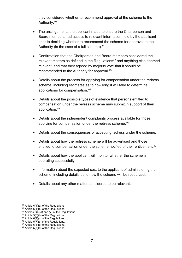they considered whether to recommend approval of the scheme to the Authority.<sup>40</sup>

- The arrangements the applicant made to ensure the Chairperson and Board members had access to relevant information held by the applicant prior to deciding whether to recommend the scheme for approval to the Authority (in the case of a full scheme).<sup>41</sup>
- Confirmation that the Chairperson and Board members considered the relevant matters as defined in the Regulations<sup>42</sup> and anything else deemed relevant, and that they agreed by majority vote that it should be recommended to the Authority for approval.<sup>43</sup>
- Details about the process for applying for compensation under the redress scheme, including estimates as to how long it will take to determine applications for compensation.<sup>44</sup>
- Details about the possible types of evidence that persons entitled to compensation under the redress scheme may submit in support of their application.<sup>45</sup>
- Details about the independent complaints process available for those applying for compensation under the redress scheme.<sup>46</sup>
- Details about the consequences of accepting redress under the scheme.
- Details about how the redress scheme will be advertised and those entitled to compensation under the scheme notified of their entitlement.<sup>47</sup>
- Details about how the applicant will monitor whether the scheme is operating successfully.
- Information about the expected cost to the applicant of administering the scheme, including details as to how the scheme will be resourced.
- Details about any other matter considered to be relevant.

<sup>40</sup> Article 6(1)(a) of the Regulations.

<sup>41</sup> Article 6(1)(b) of the Regulations.

 $42$  Articles  $\frac{1}{5}(6)(a)$  and (7) of the Regulations.

 $43$  Article 5(6)(b) of the Regulations.

<sup>&</sup>lt;sup>44</sup> Article  $6(1)(c)$  of the Regulations.

<sup>&</sup>lt;sup>45</sup> Article  $5(7)(c)$  of the Regulations.

 $46$  Article 6(1)(d) of the Regulations.

<sup>&</sup>lt;sup>47</sup> Article 5(7)(d) of the Regulations.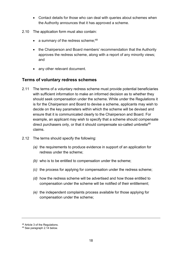- Contact details for those who can deal with queries about schemes when the Authority announces that it has approved a scheme.
- 2.10 The application form must also contain:
	- a summary of the redress scheme;  $48$
	- the Chairperson and Board members' recommendation that the Authority approves the redress scheme, along with a report of any minority views; and
	- any other relevant document.

#### <span id="page-19-0"></span>**Terms of voluntary redress schemes**

- 2.11 The terms of a voluntary redress scheme must provide potential beneficiaries with sufficient information to make an informed decision as to whether they should seek compensation under the scheme. While under the Regulations it is for the Chairperson and Board to devise a scheme, applicants may wish to decide on the key parameters within which the scheme will be devised and ensure that it is communicated clearly to the Chairperson and Board. For example, an applicant may wish to specify that a scheme should compensate direct purchasers only, or that it should compensate so-called umbrella<sup>49</sup> claims.
- 2.12 The terms should specify the following:
	- *(a)* the requirements to produce evidence in support of an application for redress under the scheme;
	- *(b)* who is to be entitled to compensation under the scheme;
	- *(c)* the process for applying for compensation under the redress scheme;
	- *(d)* how the redress scheme will be advertised and how those entitled to compensation under the scheme will be notified of their entitlement;
	- *(e)* the independent complaints process available for those applying for compensation under the scheme;

<sup>48</sup> Article 3 of the Regulations.

<sup>49</sup> See paragraph [2.14](#page-20-0) below.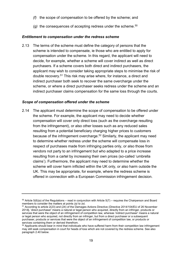- *(f)* the scope of compensation to be offered by the scheme; and
- *(g)* the consequences of accepting redress under the scheme.<sup>50</sup>

#### *Entitlement to compensation under the redress scheme*

<span id="page-20-1"></span>2.13 The terms of the scheme must define the category of persons that the scheme is intended to compensate, ie those who are entitled to apply for compensation under the scheme. In this regard, the applicant will need to decide, for example, whether a scheme will cover indirect as well as direct purchasers. If a scheme covers both direct and indirect purchasers, the applicant may wish to consider taking appropriate steps to minimise the risk of double recovery.<sup>51</sup> This risk may arise where, for instance, a direct and indirect purchaser both seek to recover the same overcharge under the scheme, or where a direct purchaser seeks redress under the scheme and an indirect purchaser claims compensation for the same loss through the courts.

#### *Scope of compensation offered under the scheme*

<span id="page-20-0"></span>2.14 The applicant must determine the scope of compensation to be offered under the scheme. For example, the applicant may need to decide whether compensation will cover only direct loss (such as the overcharge resulting from the infringement), or also other losses such as any reduced sales resulting from a potential beneficiary charging higher prices to customers because of the infringement overcharge.<sup>52</sup> Similarly, the applicant may need to determine whether redress under the scheme will compensate loss in respect of purchases made from infringing parties only, or also those from vendors not party to an infringement but who adapted to a price increase resulting from a cartel by increasing their own prices (so-called 'umbrella claims'). Furthermore, the applicant may need to determine whether the scheme will cover harm inflicted within the UK only, or also harm outside the UK. This may be appropriate, for example, where the redress scheme is offered in connection with a European Commission infringement decision.

 $50$  Article 5(6)(a) of the Regulations – read in conjunction with Article 5(7) – requires the Chairperson and Board members to consider the matters at points *(a)* to *(e).*

<sup>51</sup> According to article 2(23) and (24) of the Damages Actions Directive (Directive 2014/104/EU of 26 November 2014**)**, 'direct purchaser' means a natural or legal person who acquired, directly from an infringer, products or services that were the object of an infringement of competition law, whereas 'indirect purchaser' means a natural or legal person who acquired, not directly from an infringer, but from a direct purchaser or a subsequent purchaser, products or services that were the object of an infringement of competition law, or products or services containing them or derived therefrom.

<sup>&</sup>lt;sup>52</sup> Applicants should bear in mind that individuals who have suffered harm from their competition law infringement may still seek compensation in court for heads of loss which are not covered by the redress scheme. See also paragrap[h 2.40](#page-26-2) below.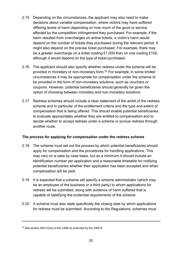- 2.15 Depending on the circumstances, the applicant may also need to make decisions about variable compensation, where victims may have suffered differing levels of harm depending on how much of the good or service affected by the competition infringement they purchased. For example, if the harm resulted from overcharges on airline tickets, a victim's harm would depend on the number of tickets they purchased during the relevant period. It might also depend on the precise ticket purchased. For example, there may be a greater overcharge on a ticket costing £1,000 than on one costing £100, although it would depend on the type of ticket purchased.
- 2.16 The applicant should also specify whether redress under the scheme will be provided in monetary or non-monetary form.<sup>53</sup> For example, in some limited circumstances it may be appropriate for compensation under the scheme to be provided in the form of non-monetary solutions, such as vouchers or coupons. However, potential beneficiaries should generally be given the option of choosing between monetary and non-monetary solutions.
- 2.17 Redress schemes should include a clear statement of the ambit of the redress scheme and in particular of the entitlement criteria and the type and extent of compensation that is being offered. This should enable potential beneficiaries to evaluate appropriately whether they are entitled to compensation and to decide whether to accept redress under a scheme or pursue redress through another route.

#### *The process for applying for compensation under the redress scheme*

- 2.18 The scheme must set out the process by which potential beneficiaries should apply for compensation and the procedures for handling applications. This may vary on a case by case basis, but as a minimum it should include an identification number per application and a reasonable timetable for notifying potential beneficiaries whether their application has been accepted and when compensation will be paid.
- 2.19 It is expected that a scheme will specify a scheme administrator (which may be an employee of the business or a third party) to whom applications for redress will be submitted, along with evidence of harm suffered that is capable of satisfying the evidential requirements of the scheme.
- 2.20 A scheme must also state specifically the closing date by which applications for redress must be submitted. According to the Regulations, schemes must

<sup>53</sup> See section 49C(12)(a) of the CA98 as amended by the CRA15.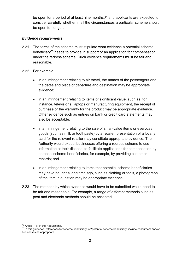be open for a period of at least nine months,<sup>54</sup> and applicants are expected to consider carefully whether in all the circumstances a particular scheme should be open for longer.

#### *Evidence requirements*

- 2.21 The terms of the scheme must stipulate what evidence a potential scheme beneficiary<sup>55</sup> needs to provide in support of an application for compensation under the redress scheme. Such evidence requirements must be fair and reasonable.
- 2.22 For example:
	- in an infringement relating to air travel, the names of the passengers and the dates and place of departure and destination may be appropriate evidence;
	- in an infringement relating to items of significant value, such as, for instance, televisions, laptops or manufacturing equipment, the receipt of purchase or the warranty for the product may be appropriate evidence. Other evidence such as entries on bank or credit card statements may also be acceptable;
	- in an infringement relating to the sale of small-value items or everyday goods (such as milk or toothpaste) by a retailer, presentation of a loyalty card for the relevant retailer may constitute appropriate evidence. The Authority would expect businesses offering a redress scheme to use information at their disposal to facilitate applications for compensation by potential scheme beneficiaries, for example, by providing customer records; and
	- in an infringement relating to items that potential scheme beneficiaries may have bought a long time ago, such as clothing or tools, a photograph of the item in question may be appropriate evidence.
- 2.23 The methods by which evidence would have to be submitted would need to be fair and reasonable. For example, a range of different methods such as post and electronic methods should be accepted.

<sup>54</sup> Article 7(b) of the Regulations.

<sup>55</sup> In this guidance, references to 'scheme beneficiary' or 'potential scheme beneficiary' include consumers and/or businesses as appropriate.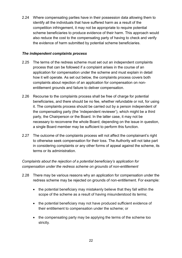2.24 Where compensating parties have in their possession data allowing them to identify all the individuals that have suffered harm as a result of the competition infringement, it may not be appropriate to require potential scheme beneficiaries to produce evidence of their harm. This approach would also reduce the cost to the compensating party of having to check and verify the evidence of harm submitted by potential scheme beneficiaries.

#### *The independent complaints process*

- <span id="page-23-0"></span>2.25 The terms of the redress scheme must set out an independent complaints process that can be followed if a complaint arises in the course of an application for compensation under the scheme and must explain in detail how it will operate. As set out below, the complaints process covers both complaints about rejection of an application for compensation on nonentitlement grounds and failure to deliver compensation.
- 2.26 Recourse to the complaints process shall be free of charge for potential beneficiaries, and there should be no fee, whether refundable or not, for using it. The complaints process should be carried out by a person independent of the compensating party (the 'independent reviewer'), which might be a third party, the Chairperson or the Board. In the latter case, it may not be necessary to reconvene the whole Board; depending on the issue in question, a single Board member may be sufficient to perform this function.
- 2.27 The outcome of the complaints process will not affect the complainant's right to otherwise seek compensation for their loss. The Authority will not take part in considering complaints or any other forms of appeal against the scheme, its terms or its administration.

### *Complaints about the rejection of a potential beneficiary's application for compensation under the redress scheme on grounds of non-entitlement*

- 2.28 There may be various reasons why an application for compensation under the redress scheme may be rejected on grounds of non-entitlement. For example:
	- the potential beneficiary may mistakenly believe that they fall within the scope of the scheme as a result of having misunderstood its terms;
	- the potential beneficiary may not have produced sufficient evidence of their entitlement to compensation under the scheme; or
	- the compensating party may be applying the terms of the scheme too strictly.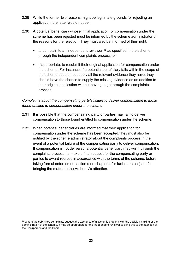- 2.29 While the former two reasons might be legitimate grounds for rejecting an application, the latter would not be.
- 2.30 A potential beneficiary whose initial application for compensation under the scheme has been rejected must be informed by the scheme administrator of the reasons for the rejection. They must also be informed of their right:
	- $\bullet$  to complain to an independent reviewer,<sup>56</sup> as specified in the scheme, through the independent complaints process; or
	- if appropriate, to resubmit their original application for compensation under the scheme. For instance, if a potential beneficiary falls within the scope of the scheme but did not supply all the relevant evidence they have, they should have the chance to supply the missing evidence as an addition to their original application without having to go through the complaints process.

### *Complaints about the compensating party's failure to deliver compensation to those found entitled to compensation under the scheme*

- 2.31 It is possible that the compensating party or parties may fail to deliver compensation to those found entitled to compensation under the scheme.
- <span id="page-24-0"></span>2.32 When potential beneficiaries are informed that their application for compensation under the scheme has been accepted, they must also be notified by the scheme administrator about the complaints process in the event of a potential failure of the compensating party to deliver compensation. If compensation is not delivered, a potential beneficiary may wish, through the complaints process, to make a final request for the compensating party or parties to award redress in accordance with the terms of the scheme, before taking formal enforcement action (see chapter 4 for further details) and/or bringing the matter to the Authority's attention.

<sup>&</sup>lt;sup>56</sup> Where the submitted complaints suggest the existence of a systemic problem with the decision-making or the administration of the scheme, it may be appropriate for the independent reviewer to bring this to the attention of the Chairperson and the Board.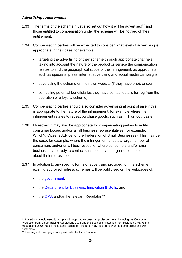#### *Advertising requirements*

- 2.33 The terms of the scheme must also set out how it will be advertised<sup>57</sup> and those entitled to compensation under the scheme will be notified of their entitlement.
- 2.34 Compensating parties will be expected to consider what level of advertising is appropriate in their case, for example:
	- targeting the advertising of their scheme through appropriate channels taking into account the nature of the product or service the compensation relates to and the geographical scope of the infringement, as appropriate, such as specialist press, internet advertising and social media campaigns;
	- advertising the scheme on their own website (if they have one); and/or
	- contacting potential beneficiaries they have contact details for (eg from the operation of a loyalty scheme).
- 2.35 Compensating parties should also consider advertising at point of sale if this is appropriate to the nature of the infringement, for example where the infringement relates to repeat purchase goods, such as milk or toothpaste.
- 2.36 Moreover, it may also be appropriate for compensating parties to notify consumer bodies and/or small business representatives (for example, Which?, Citizens Advice, or the Federation of Small Businesses). This may be the case, for example, where the infringement affects a large number of consumers and/or small businesses, or where consumers and/or small businesses are likely to contact such bodies and organisations to enquire about their redress options.
- 2.37 In addition to any specific forms of advertising provided for in a scheme, existing approved redress schemes will be publicised on the webpages of:
	- the [government;](http://www.gov.uk/)
	- the [Department for Business, Innovation & Skills;](http://www.gov.uk/bis) and
	- $\bullet$  the [CMA](http://www.gov.uk/cma) and/or the relevant Regulator.<sup>58</sup>

<sup>&</sup>lt;sup>57</sup> Advertising would need to comply with applicable consumer protection laws, including the Consumer Protection from Unfair Trading Regulations 2008 and the Business Protection from Misleading Marketing Regulations 2008. Relevant sectoral legislation and rules may also be relevant to communications with customers.

<sup>58</sup> The Regulator webpages are provided in footnote [3](#page-3-2) above.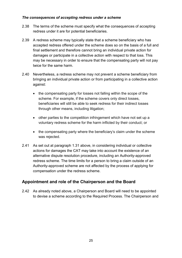#### *The consequences of accepting redress under a scheme*

- 2.38 The terms of the scheme must specify what the consequences of accepting redress under it are for potential beneficiaries.
- 2.39 A redress scheme may typically state that a scheme beneficiary who has accepted redress offered under the scheme does so on the basis of a full and final settlement and therefore cannot bring an individual private action for damages or participate in a collective action with respect to that loss. This may be necessary in order to ensure that the compensating party will not pay twice for the same harm.
- <span id="page-26-2"></span>2.40 Nevertheless, a redress scheme may not prevent a scheme beneficiary from bringing an individual private action or from participating in a collective action against:
	- the compensating party for losses not falling within the scope of the scheme. For example, if the scheme covers only direct losses, beneficiaries will still be able to seek redress for their indirect losses through other means, including litigation;
	- other parties to the competition infringement which have not set up a voluntary redress scheme for the harm inflicted by their conduct; or
	- the compensating party where the beneficiary's claim under the scheme was rejected.
- 2.41 As set out at paragraph [1.31](#page-13-0) above, in considering individual or collective actions for damages the CAT may take into account the existence of an alternative dispute resolution procedure, including an Authority-approved redress scheme. The time limits for a person to bring a claim outside of an Authority-approved scheme are not affected by the process of applying for compensation under the redress scheme.

## <span id="page-26-0"></span>**Appointment and role of the Chairperson and the Board**

<span id="page-26-1"></span>2.42 As already noted above, a Chairperson and Board will need to be appointed to devise a scheme according to the Required Process. The Chairperson and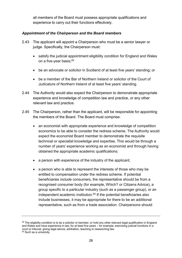all members of the Board must possess appropriate qualifications and experience to carry out their functions effectively.

#### *Appointment of the Chairperson and the Board members*

- <span id="page-27-0"></span>2.43 The applicant will appoint a Chairperson who must be a senior lawyer or judge. Specifically, the Chairperson must:
	- satisfy the judicial appointment eligibility condition for England and Wales on a five-year basis;<sup>59</sup>
	- be an advocate or solicitor in Scotland of at least five years' standing; or
	- be a member of the Bar of Northern Ireland or solicitor of the Court of Judicature of Northern Ireland of at least five years' standing.
- 2.44 The Authority would also expect the Chairperson to demonstrate appropriate experience and knowledge of competition law and practice, or any other relevant law and practice.
- 2.45 The Chairperson, rather than the applicant, will be responsible for appointing the members of the Board. The Board must comprise:
	- an economist with appropriate experience and knowledge of competition economics to be able to consider the redress scheme. The Authority would expect the economist Board member to demonstrate the requisite technical or specialist knowledge and expertise. This would be through a number of years' experience working as an economist and through having obtained the appropriate academic qualifications;
	- a person with experience of the industry of the applicant;
	- a person who is able to represent the interests of those who may be entitled to compensation under the redress scheme. If potential beneficiaries include consumers, the representative should be from a recognised consumer body (for example, Which? or Citizens Advice), a group specific to a particular industry (such as a passenger group), or an independent academic institution. $60$  If the potential beneficiaries also include businesses, it may be appropriate for there to be an additional representative, such as from a trade association. Chairpersons should

<sup>&</sup>lt;sup>59</sup> The eligibility condition is to be a solicitor or barrister, or hold any other relevant legal qualification in England and Wales and have experience in law, for at least five years – for example, exercising judicial functions in a court or tribunal, giving legal advice, arbitration, teaching or researching law. <sup>60</sup> Such as a university.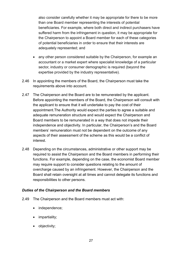also consider carefully whether it may be appropriate for there to be more than one Board member representing the interests of potential beneficiaries. For example, where both direct and indirect purchasers have suffered harm from the infringement in question, it may be appropriate for the Chairperson to appoint a Board member for each of these categories of potential beneficiaries in order to ensure that their interests are adequately represented; and

- any other person considered suitable by the Chairperson, for example an accountant or a market expert where specialist knowledge of a particular sector, industry or consumer demographic is required (beyond the expertise provided by the industry representative).
- 2.46 In appointing the members of the Board, the Chairperson must take the requirements above into account.
- 2.47 The Chairperson and the Board are to be remunerated by the applicant. Before appointing the members of the Board, the Chairperson will consult with the applicant to ensure that it will undertake to pay the cost of their appointment.The Authority would expect the parties to agree a suitable and adequate remuneration structure and would expect the Chairperson and Board members to be remunerated in a way that does not impede their independence and objectivity. In particular, the Chairperson's and the Board members' remuneration must not be dependent on the outcome of any aspects of their assessment of the scheme as this would be a conflict of interest.
- 2.48 Depending on the circumstances, administrative or other support may be required to assist the Chairperson and the Board members in performing their functions. For example, depending on the case, the economist Board member may require support to consider questions relating to the amount of overcharge caused by an infringement. However, the Chairperson and the Board shall retain oversight at all times and cannot delegate its functions and responsibilities to other persons.

#### *Duties of the Chairperson and the Board members*

- 2.49 The Chairperson and the Board members must act with:
	- independence;
	- impartiality;
	- objectivity;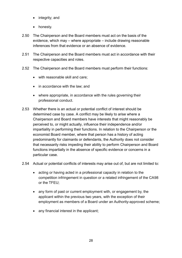- integrity; and
- honesty.
- 2.50 The Chairperson and the Board members must act on the basis of the evidence, which may – where appropriate – include drawing reasonable inferences from that evidence or an absence of evidence.
- 2.51 The Chairperson and the Board members must act in accordance with their respective capacities and roles.
- 2.52 The Chairperson and the Board members must perform their functions:
	- with reasonable skill and care;
	- in accordance with the law; and
	- where appropriate, in accordance with the rules governing their professional conduct.
- 2.53 Whether there is an actual or potential conflict of interest should be determined case by case. A conflict may be likely to arise where a Chairperson and Board members have interests that might reasonably be perceived to, or might actually, influence their independence and/or impartiality in performing their functions. In relation to the Chairperson or the economist Board member, where that person has a history of acting predominantly for claimants or defendants, the Authority does not consider that necessarily risks impeding their ability to perform Chairperson and Board functions impartially in the absence of specific evidence or concerns in a particular case.
- 2.54 Actual or potential conflicts of interests may arise out of, but are not limited to:
	- acting or having acted in a professional capacity in relation to the competition infringement in question or a related infringement of the CA98 or the TFEU;
	- any form of past or current employment with, or engagement by, the applicant within the previous two years, with the exception of their employment as members of a Board under an Authority-approved scheme;
	- any financial interest in the applicant: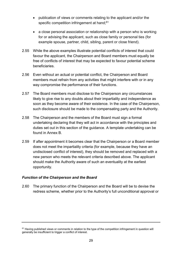- publication of views or comments relating to the applicant and/or the specific competition infringement at hand;<sup>61</sup>
- a close personal association or relationship with a person who is working for or advising the applicant, such as close family or personal ties (for example spouse, partner, child, sibling, parent or close friend).
- 2.55 While the above examples illustrate potential conflicts of interest that could favour the applicant, the Chairperson and Board members must equally be free of conflicts of interest that may be expected to favour potential scheme beneficiaries.
- 2.56 Even without an actual or potential conflict, the Chairperson and Board members must refrain from any activities that might interfere with or in any way compromise the performance of their functions.
- 2.57 The Board members must disclose to the Chairperson any circumstances likely to give rise to any doubts about their impartiality and independence as soon as they become aware of their existence. In the case of the Chairperson, such disclosure should be made to the compensating party and the Authority.
- 2.58 The Chairperson and the members of the Board must sign a formal undertaking declaring that they will act in accordance with the principles and duties set out in this section of the guidance. A template undertaking can be found in Annex B.
- <span id="page-30-0"></span>2.59 If after appointment it becomes clear that the Chairperson or a Board member does not meet the impartiality criteria (for example, because they have an undisclosed conflict of interest), they should be removed and replaced with a new person who meets the relevant criteria described above. The applicant should make the Authority aware of such an eventuality at the earliest opportunity.

#### *Function of the Chairperson and the Board*

<span id="page-30-1"></span>2.60 The primary function of the Chairperson and the Board will be to devise the redress scheme, whether prior to the Authority's full unconditional approval or

<sup>&</sup>lt;sup>61</sup> Having published views or comments in relation to the type of the competition infringement in question will generally be insufficient to trigger a conflict of interest.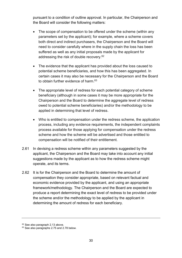pursuant to a condition of outline approval. In particular, the Chairperson and the Board will consider the following matters:

- The scope of compensation to be offered under the scheme (within any parameters set by the applicant); for example, where a scheme covers both direct and indirect purchasers, the Chairperson and the Board will need to consider carefully where in the supply chain the loss has been suffered as well as any initial proposals made by the applicant for addressing the risk of double recovery.<sup>62</sup>
- The evidence that the applicant has provided about the loss caused to potential scheme beneficiaries, and how this has been aggregated. In certain cases it may also be necessary for the Chairperson and the Board to obtain further evidence of harm.<sup>63</sup>
- The appropriate level of redress for each potential category of scheme beneficiary (although in some cases it may be more appropriate for the Chairperson and the Board to determine the aggregate level of redress owed to potential scheme beneficiaries) and/or the methodology to be applied in determining that level of redress.
- Who is entitled to compensation under the redress scheme, the application process, including any evidence requirements, the independent complaints process available for those applying for compensation under the redress scheme and how the scheme will be advertised and those entitled to compensation will be notified of their entitlement.
- 2.61 In devising a redress scheme within any parameters suggested by the applicant, the Chairperson and the Board may take into account any initial suggestions made by the applicant as to how the redress scheme might operate, and its terms.
- 2.62 It is for the Chairperson and the Board to determine the amount of compensation they consider appropriate, based on relevant factual and economic evidence provided by the applicant, and using an appropriate framework/methodology. The Chairperson and the Board are expected to produce a report determining the exact level of redress to be provided under the scheme and/or the methodology to be applied by the applicant in determining the amount of redress for each beneficiary.

<sup>62</sup> See also paragraph [2.13](#page-20-1) above.

<sup>63</sup> See also paragraph[s 2.75](#page-35-0) and [2.78](#page-36-0) below.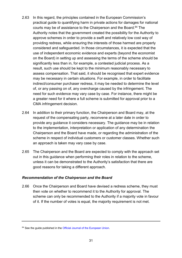- 2.63 In this regard, the principles contained in the European Commission's practical guide to quantifying harm in private actions for damages for national courts may be of assistance to the Chairperson and the Board.<sup>64</sup> The Authority notes that the government created the possibility for the Authority to approve schemes in order to provide a swift and relatively low cost way of providing redress, while ensuring the interests of those harmed are properly considered and safeguarded. In those circumstances, it is expected that the use of independent economic evidence and experts (beyond the economist on the Board) in setting up and assessing the terms of the scheme should be significantly less than in, for example, a contested judicial process. As a result, such use should be kept to the minimum reasonably necessary to assess compensation. That said, it should be recognised that expert evidence may be necessary in certain situations. For example, in order to facilitate indirect/consumer purchaser redress, it may be needed to determine the level of, or any passing on of, any overcharge caused by the infringement. The need for such evidence may vary case by case. For instance, there might be a greater need for it where a full scheme is submitted for approval prior to a CMA infringement decision.
- 2.64 In addition to their primary function, the Chairperson and Board may, at the request of the compensating party, reconvene at a later date in order to provide any guidance it considers necessary. The guidance may be in relation to the implementation, interpretation or application of any determination the Chairperson and the Board have made, or regarding the administration of the scheme in respect of individual customers or customer classes. Whether such an approach is taken may vary case by case.
- 2.65 The Chairperson and the Board are expected to comply with the approach set out in this guidance when performing their roles in relation to the scheme, unless it can be demonstrated to the Authority's satisfaction that there are good reasons for taking a different approach.

#### *Recommendation of the Chairperson and the Board*

2.66 Once the Chairperson and Board have devised a redress scheme, they must then vote on whether to recommend it to the Authority for approval. The scheme can only be recommended to the Authority if a majority vote in favour of it. If the number of votes is equal, the majority requirement is not met.

<sup>&</sup>lt;sup>64</sup> See the guide published in the [Official Journal of the European Union.](http://eur-lex.europa.eu/LexUriServ/LexUriServ.do?uri=OJ:C:2013:167:0019:0021:EN:PDF)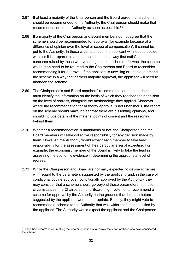- 2.67 If at least a majority of the Chairperson and the Board agree that a scheme should be recommended to the Authority, the Chairperson should make that recommendation to the Authority as soon as possible.<sup>65</sup>
- 2.68 If a majority of the Chairperson and Board members do not agree that the scheme should be recommended for approval (for example because of a difference of opinion over the level or scope of compensation), it cannot be put to the Authority. In those circumstances, the applicant will need to decide whether it is prepared to amend the scheme in a way that satisfies the concerns raised by those who voted against the scheme. If it was, the scheme would then need to be returned to the Chairperson and Board to reconsider recommending it for approval. If the applicant is unwilling or unable to amend the scheme in a way that garners majority approval, the applicant will need to abandon the scheme.
- 2.69 The Chairperson's and Board members' recommendation on the scheme must identify the information on the basis of which they reached their decision on the level of redress, alongside the methodology they applied. Moreover, where the recommendation for Authority approval is not unanimous, the report on the scheme should make it clear that there are dissenting opinions, and should include details of the material points of dissent and the reasoning behind them.
- 2.70 Whether a recommendation is unanimous or not, the Chairperson and the Board members will take collective responsibility for any decision made by them. However, the Authority would expect each member to take lead responsibility for the assessment of their particular area of expertise. For example, the economist member of the Board is likely to take the lead in assessing the economic evidence in determining the appropriate level of redress.
- 2.71 While the Chairperson and Board are normally expected to devise schemes with regard to the parameters suggested by the applicant (and, in the case of conditional outline approval, conditionally approved by the Authority), they may consider that a scheme should go beyond those parameters. In those circumstances, the Chairperson and Board might vote not to recommend a scheme for approval by the Authority on the grounds that the parameters suggested by the applicant were inappropriate. Equally, they might vote to recommend a scheme to the Authority that was wider than that specified by the applicant. The Authority would expect the applicant and the Chairperson

<sup>&</sup>lt;sup>65</sup> The Chairperson's role in making the recommendation is to convey the views of those who have considered the scheme.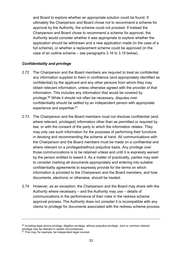and Board to explore whether an appropriate solution could be found. If ultimately the Chairperson and Board chose not to recommend a scheme for approval by the Authority, the scheme could not proceed. If instead the Chairperson and Board chose to recommend a scheme for approval, the Authority would consider whether it was appropriate to explore whether the application should be withdrawn and a new application made (in the case of a full scheme), or whether a replacement scheme could be approved (in the case of an outline scheme – see paragraphs [3.16](#page-43-0) to [3.19](#page-45-1) below).

#### *Confidentiality and privilege*

- 2.72 The Chairperson and the Board members are required to treat as confidential any information supplied to them in confidence (and appropriately identified as confidential) by the applicant and any other persons from whom they may obtain relevant information, unless otherwise agreed with the provider of that information. This includes any information that would be covered by privilege.<sup>66</sup> While it should not often be necessary, disputes over confidentiality should be settled by an independent person with appropriate experience and expertise.<sup>67</sup>
- 2.73 The Chairperson and the Board members must not disclose confidential (and, where relevant, privileged) information other than as permitted or required by law, or with the consent of the party to which the information relates. They may only use such information for the purposes of performing their functions in devising and recommending the scheme at hand. All communications with the Chairperson and the Board members must be made on a confidential and where relevant on a privileged/without prejudice basis. Any privilege over those communications is to be retained unless and until it is expressly waived by the person entitled to assert it. As a matter of practicality, parties may wish to consider marking all documents appropriately and entering into suitable confidentiality agreements to expressly provide for the terms on which information is provided to the Chairperson and the Board members, and how documents, electronic or otherwise, should be treated.
- <span id="page-34-0"></span>2.74 However, as an exception, the Chairperson and the Board may share with the Authority where necessary – and the Authority may use – details of communications in the performance of their roles in the redress scheme approval process. The Authority does not consider it is incompatible with any claims to privilege for documents associated with the redress scheme process

<sup>&</sup>lt;sup>66</sup> Including legal advice privilege, litigation privilege, without prejudice privilege. Joint or common interest privilege may be relevant in certain circumstances.

 $67$  This may, for example, be independent legal counsel.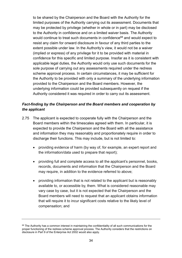to be shared by the Chairperson and the Board with the Authority for the limited purposes of the Authority carrying out its assessment. Documents that may be protected by privilege (whether in whole or in part) may be disclosed to the Authority in confidence and on a limited waiver basis. The Authority would continue to treat such documents in confidence<sup>68</sup> and would expect to resist any claim for onward disclosure in favour of any third parties to the extent possible under law. In the Authority's view, it would not be a waiver (implied or express) of any privilege for it to be provided with material in confidence for this specific and limited purpose. Insofar as it is consistent with applicable legal duties, the Authority would only use such documents for the sole purpose of carrying out any assessments required under the redress scheme approval process. In certain circumstances, it may be sufficient for the Authority to be provided with only a summary of the underlying information provided to the Chairperson and the Board members. However, the underlying information could be provided subsequently on request if the Authority considered it was required in order to carry out its assessment.

### *Fact-finding by the Chairperson and the Board members and cooperation by the applicant*

- <span id="page-35-0"></span>2.75 The applicant is expected to cooperate fully with the Chairperson and the Board members within the timescales agreed with them. In particular, it is expected to provide the Chairperson and the Board with all the assistance and information they may reasonably and proportionately require in order to discharge their functions. This may include, but is not limited to:
	- providing evidence of harm (by way of, for example, an expert report and the information/data used to prepare that report);
	- providing full and complete access to all the applicant's personnel, books, records, documents and information that the Chairperson and the Board may require, in addition to the evidence referred to above;
	- providing information that is not related to the applicant but is reasonably available to, or accessible by, them. What is considered reasonable may vary case by case, but it is not expected that the Chairperson and the Board members will need to request that an applicant obtains information that will require it to incur significant costs relative to the likely level of compensation; and

<sup>&</sup>lt;sup>68</sup> The Authority has a common interest in maintaining the confidentiality of all such communications for the proper functioning of the redress scheme approval process. The Authority considers that the restrictions on disclosure in Part 9 of the Enterprise Act 2002 would also apply.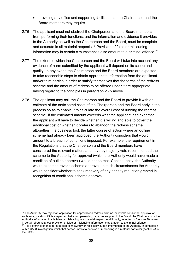- <span id="page-36-1"></span> providing any office and supporting facilities that the Chairperson and the Board members may require.
- 2.76 The applicant must not obstruct the Chairperson and the Board members from performing their functions, and the information and evidence it provides to the Authority as well as the Chairperson and the Board, must be complete and accurate in all material respects.<sup>69</sup> Provision of false or misleading information may in certain circumstances also amount to a criminal offence.<sup>70</sup>
- 2.77 The extent to which the Chairperson and the Board will take into account any evidence of harm submitted by the applicant will depend on its scope and quality. In any event, the Chairperson and the Board members are expected to take reasonable steps to obtain appropriate information from the applicant and/or third parties in order to satisfy themselves that the terms of the redress scheme and the amount of redress to be offered under it are appropriate, having regard to the principles in paragraph [2.75](#page-35-0) above.
- <span id="page-36-0"></span>2.78 The applicant may ask the Chairperson and the Board to provide it with an estimate of the anticipated costs of the Chairperson and the Board early in the process so as to enable it to calculate the overall cost of running the redress scheme. If the estimated amount exceeds what the applicant had expected, the applicant will have to decide whether it is willing and able to cover the additional cost or whether it prefers to abandon the redress scheme altogether. If a business took the latter course of action where an outline scheme had already been approved, the Authority considers that would amount to a breach of conditions imposed. For example, the requirement in the Regulations that the Chairperson and the Board members have considered the relevant matters and have by majority vote recommended the scheme to the Authority for approval (which the Authority would have made a condition of outline approval) would not be met. Consequently, the Authority would expect to revoke scheme approval. In such circumstances the Authority would consider whether to seek recovery of any penalty reduction granted in recognition of conditional scheme approval.

<sup>&</sup>lt;sup>69</sup> The Authority may reject an application for approval of a redress scheme, or revoke conditional approval of such an application, if it is suspected that a compensating party has supplied to the Board, the Chairperson or the Authority information that is false or misleading in a material respect. Additionally, as noted in footnot[e 70](#page-36-1) below, in certain circumstances provision of false or misleading information may amount to a criminal offence <sup>70</sup> It is a criminal offence for a person to knowingly or recklessly supply information to the Authority in connection with a CA98 investigation which that person knows to be false or misleading in a material particular (section 44 of the CA98).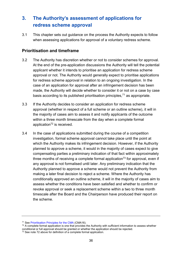# <span id="page-37-0"></span>**3. The Authority's assessment of applications for redress scheme approval**

3.1 This chapter sets out guidance on the process the Authority expects to follow when assessing applications for approval of a voluntary redress scheme.

## <span id="page-37-1"></span>**Prioritisation and timeframe**

- <span id="page-37-2"></span>3.2 The Authority has discretion whether or not to consider schemes for approval. At the end of the pre-application discussions the Authority will tell the potential applicant whether it intends to prioritise an application for redress scheme approval or not. The Authority would generally expect to prioritise applications for redress scheme approval in relation to an ongoing investigation. In the case of an application for approval after an infringement decision has been made, the Authority will decide whether to consider it or not on a case by case basis according to its published prioritisation principles,  $71$  as appropriate.
- 3.3 If the Authority decides to consider an application for redress scheme approval (whether in respect of a full scheme or an outline scheme), it will in the majority of cases aim to assess it and notify applicants of the outcome within a three month timescale from the day when a complete formal application<sup>72</sup> is received.
- <span id="page-37-3"></span>3.4 In the case of applications submitted during the course of a competition investigation, formal scheme approval cannot take place until the point at which the Authority makes its infringement decision. However, if the Authority planned to approve a scheme, it would in the majority of cases expect to give compensating parties a preliminary indication of that fact within approximately three months of receiving a complete formal application<sup>73</sup> for approval, even if any approval is not formalised until later. Any preliminary indication that the Authority planned to approve a scheme would not prevent the Authority from making a later final decision to reject a scheme. Where the Authority has conditionally approved an outline scheme, it will in the majority of cases aim to assess whether the conditions have been satisfied and whether to confirm or revoke approval or seek a replacement scheme within a two to three month timescale after the Board and the Chairperson have produced their report on the scheme.

<sup>71</sup> Se[e Prioritisation Principles for the CMA](https://www.gov.uk/government/publications/cma-prioritisation-principles) (CMA16).

 $72$  A complete formal application is one that provides the Authority with sufficient information to assess whether conditional or full approval should be granted or whether the application should be rejected. <sup>73</sup> See not[e 72](#page-37-3) above for definition of a complete formal application.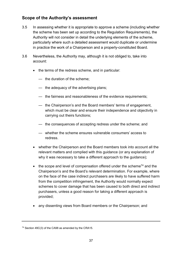## <span id="page-38-0"></span>**Scope of the Authority's assessment**

- <span id="page-38-2"></span>3.5 In assessing whether it is appropriate to approve a scheme (including whether the scheme has been set up according to the Regulation Requirements), the Authority will not consider in detail the underlying elements of the scheme, particularly where such a detailed assessment would duplicate or undermine in practice the work of a Chairperson and a properly-constituted Board.
- <span id="page-38-1"></span>3.6 Nevertheless, the Authority may, although it is not obliged to, take into account:
	- the terms of the redress scheme, and in particular:
		- the duration of the scheme;
		- the adequacy of the advertising plans;
		- the fairness and reasonableness of the evidence requirements;
		- the Chairperson's and the Board members' terms of engagement, which must be clear and ensure their independence and objectivity in carrying out theirs functions;
		- the consequences of accepting redress under the scheme; and
		- whether the scheme ensures vulnerable consumers' access to redress.
	- whether the Chairperson and the Board members took into account all the relevant matters and complied with this guidance (or any explanation of why it was necessary to take a different approach to the guidance);
	- $\bullet$  the scope and level of compensation offered under the scheme<sup>74</sup> and the Chairperson's and the Board's relevant determination. For example, where on the face of the case indirect purchasers are likely to have suffered harm from the competition infringement, the Authority would normally expect schemes to cover damage that has been caused to both direct and indirect purchasers, unless a good reason for taking a different approach is provided;
	- any dissenting views from Board members or the Chairperson; and

<sup>74</sup> Section 49C(3) of the CA98 as amended by the CRA15.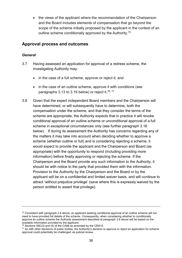the views of the applicant where the recommendation of the Chairperson and the Board includes elements of compensation that go beyond the scope of the scheme initially proposed by the applicant in the context of an outline scheme conditionally approved by the Authority.<sup>75</sup>

### <span id="page-39-0"></span>**Approval process and outcomes**

#### *General*

- 3.7 Having assessed an application for approval of a redress scheme, the investigating Authority may:
	- in the case of a full scheme, approve or reject it; and
	- in the case of an outline scheme, approve it with conditions (see paragraphs [3.13](#page-41-1) to [3.19](#page-45-1) below) or reject it.<sup>76,77</sup>
- 3.8 Given that the expert independent Board members and the Chairperson will have determined, or will subsequently have to determine, both the compensation under the scheme, and that they consider the terms of the scheme are appropriate, the Authority expects that in practice it will revoke conditional approval of an outline scheme or unconditional approval of a full scheme in exceptional circumstances only (see further paragraph [3.16](#page-43-0) below). If during its assessment the Authority has concerns regarding any of the matters it may take into account when deciding whether to approve a scheme (whether outline or full) and is considering rejecting a scheme, it would expect to provide the applicant and the Chairperson and Board (as appropriate) with the opportunity to respond (including providing more information) before finally approving or rejecting the scheme. If the Chairperson and the Board provide any such information to the Authority, it should be with notice to the party that provided them with the information. Provision to the Authority by the Chairperson and the Board or by the applicant will be on a confidential and limited waiver basis, and will continue to attract 'without prejudice privilege' (save where this is expressly waived by the person entitled to assert that privilege).

<sup>75</sup> Consistent with paragraph [2.8](#page-16-0) above, an applicant seeking conditional approval of an outline scheme will not need to have provided full details of the scheme. Consequently, when considering whether to conditionally approve an outline scheme the Authority assessment described at paragraph [3.6](#page-38-1) above will be based on the available information provided by the applicant.

<sup>76</sup> Sections 49C(3) and (4) of the CA98 as amended by the CRA15.

<sup>&</sup>lt;sup>77</sup> As with other decisions of public bodies, the Authority's decision to approve or reject an application for scheme approval could potentially be challenged via judicial review.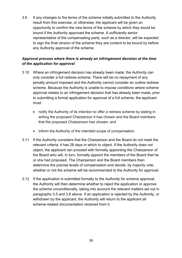3.9 If any changes to the terms of the scheme initially submitted to the Authority result from this exercise, or otherwise, the applicant will be given an opportunity to confirm the new terms of the scheme by which they would be bound if the Authority approved the scheme. A sufficiently senior representative of the compensating party, such as a director, will be expected to sign the final version of the scheme they are content to be bound by before any Authority approval of the scheme.

#### *Approval process where there is already an infringement decision at the time of the application for approval*

- 3.10 Where an infringement decision has already been made, the Authority can only consider a full redress scheme. There will be no repayment of any penalty amount imposed and the Authority cannot consider an outline redress scheme. Because the Authority is unable to impose conditions where scheme approval relates to an infringement decision that has already been made, prior to submitting a formal application for approval of a full scheme, the applicant must:
	- notify the Authority of its intention to offer a redress scheme by stating in writing the proposed Chairperson it has chosen and the Board members that the proposed Chairperson has chosen; and
	- inform the Authority of the intended scope of compensation.
- 3.11 If the Authority considers that the Chairperson and the Board do not meet the relevant criteria, it has 28 days in which to object. If the Authority does not object, the applicant can proceed with formally appointing the Chairperson of the Board who will, in turn, formally appoint the members of the Board that he or she had proposed. The Chairperson and the Board members then determine the precise levels of compensation and decide, by majority vote, whether or not the scheme will be recommended to the Authority for approval.
- 3.12 If the application is submitted formally to the Authority for scheme approval, the Authority will then determine whether to reject the application or approve the scheme unconditionally, taking into account the relevant matters set out in paragraphs [3.5](#page-38-2) and [3.6](#page-38-1) above. If an application is rejected by the Authority, or withdrawn by the applicant, the Authority will return to the applicant all scheme-related documentation received from it.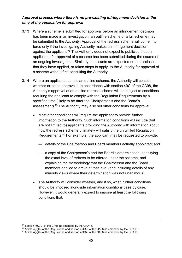### *Approval process where there is no pre-existing infringement decision at the time of the application for approval*

- <span id="page-41-1"></span>3.13 Where a scheme is submitted for approval before an infringement decision has been made in an investigation, an outline scheme or a full scheme may be submitted to the Authority. Approval of the redress scheme will come into force only if the investigating Authority makes an infringement decision against the applicant.<sup>78</sup> The Authority does not expect to publicise that an application for approval of a scheme has been submitted during the course of an ongoing investigation. Similarly, applicants are expected not to disclose that they have applied, or taken steps to apply, to the Authority for approval of a scheme without first consulting the Authority.
- <span id="page-41-0"></span>3.14 Where an applicant submits an outline scheme, the Authority will consider whether or not to approve it. In accordance with section 49C of the CA98, the Authority's approval of an outline redress scheme will be subject to conditions requiring the applicant to comply with the Regulation Requirements by a specified time (likely to be after the Chairperson's and the Board's assessment).<sup>79</sup> The Authority may also set other conditions for approval:
	- Most other conditions will require the applicant to provide further information to the Authority. Such information conditions will include (but are not limited to) applicants providing the Authority with information about how the redress scheme ultimately will satisfy the unfulfilled Regulation Requirements.<sup>80</sup> For example, the applicant may be requested to provide:
		- details of the Chairperson and Board members actually appointed; and
		- a copy of the Chairperson's and the Board's determination, specifying the exact level of redress to be offered under the scheme, and explaining the methodology that the Chairperson and the Board members applied to arrive at that level (and including details of any minority views where their determination was not unanimous).
	- The Authority will consider whether, and if so, what, further conditions should be imposed alongside information conditions case by case. However, it would generally expect to impose at least the following conditions that:

<sup>78</sup> Section 49C(2) of the CA98 as amended by the CRA15.

 $79$  Article 4(2)(b) of the Regulations and section 49C(3) of the CA98 as amended by the CRA15.

<sup>&</sup>lt;sup>80</sup> Article  $4(2)(b)$  of the Regulations and section  $49C(4)$  of the CA98 as amended by the CRA15.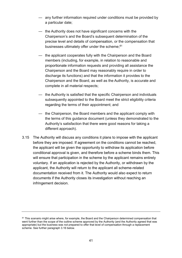- any further information required under conditions must be provided by a particular date;
- the Authority does not have significant concerns with the Chairperson's and the Board's subsequent determination of the precise level and details of compensation, or the compensation that businesses ultimately offer under the scheme:<sup>81</sup>
- the applicant cooperates fully with the Chairperson and the Board members (including, for example, in relation to reasonable and proportionate information requests and providing all assistance the Chairperson and the Board may reasonably require in order to discharge its functions) and that the information it provides to the Chairperson and the Board, as well as the Authority, is accurate and complete in all material respects;
- the Authority is satisfied that the specific Chairperson and individuals subsequently appointed to the Board meet the strict eligibility criteria regarding the terms of their appointment; and
- the Chairperson, the Board members and the applicant comply with the terms of this guidance document (unless they demonstrated to the Authority's satisfaction that there were good reasons for taking a different approach).
- 3.15 The Authority will discuss any conditions it plans to impose with the applicant before they are imposed. If agreement on the conditions cannot be reached, the applicant will be given the opportunity to withdraw its application before conditional approval is given, and therefore before a scheme binds them. This will ensure that participation in the scheme by the applicant remains entirely voluntary. If an application is rejected by the Authority, or withdrawn by the applicant, the Authority will return to the applicant all scheme-related documentation received from it. The Authority would also expect to return documents if the Authority closes its investigation without reaching an infringement decision.

<sup>&</sup>lt;sup>81</sup> This scenario might arise where, for example, the Board and the Chairperson determined compensation that went further than the scope of the outline scheme approved by the Authority (and the Authority agreed that was appropriate) but the business was not prepared to offer that level of compensation through a replacement scheme. See further paragraph [3.16](#page-43-0) below.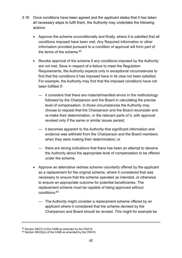- <span id="page-43-0"></span>3.16 Once conditions have been agreed and the applicant states that it has taken all necessary steps to fulfil them, the Authority may undertake the following actions:
	- Approve the scheme unconditionally and finally, where it is satisfied that all conditions imposed have been met. Any Required Information or other information provided pursuant to a condition of approval will form part of the terms of the scheme. 82
	- Revoke approval of the scheme if any conditions imposed by the Authority are not met. Save in respect of a failure to meet the Regulation Requirements, the Authority expects only in exceptional circumstances to find that the conditions it has imposed have in its view not been satisfied. For example, the Authority may find that the imposed conditions have not been fulfilled if:
		- it considers that there are material/manifest errors in the methodology followed by the Chairperson and the Board in calculating the precise level of compensation. In those circumstances the Authority may choose to request that the Chairperson and the Board reconsider and re-make their determination, or the relevant parts of it, with approval revoked only if the same or similar issues persist;
		- it becomes apparent to the Authority that significant information and evidence was withheld from the Chairperson and the Board members when they were making their determination; or
		- there are strong indications that there has been an attempt to deceive the Authority about the appropriate level of compensation to be offered under the scheme.
	- Approve an alternative redress scheme voluntarily offered by the applicant as a replacement for the original scheme, where it considered that was necessary to ensure that the scheme operated as intended, or otherwise to ensure an appropriate outcome for potential beneficiaries. The replacement scheme must be capable of being approved without conditions:<sup>83</sup>
		- The Authority might consider a replacement scheme offered by an applicant where it considered that the scheme devised by the Chairperson and Board should be revised. This might for example be

<sup>82</sup> Section 49C(7) of the CA98 as amended by the CRA15.

<sup>&</sup>lt;sup>83</sup> Section 49C(5)(c) of the CA98 as amended by the CRA15.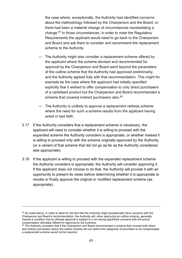the case where, exceptionally, the Authority had identified concerns about the methodology followed by the Chairperson and the Board, or there had been a material change of circumstances necessitating a change.<sup>84</sup> In those circumstances, in order to meet the Regulatory Requirements the applicant would need to go back to the Chairperson and Board and ask them to consider and recommend the replacement scheme to the Authority.

- The Authority might also consider a replacement scheme offered by the applicant where the scheme devised and recommended for approval by the Chairperson and Board went beyond the parameters of the outline scheme that the Authority had approved preliminarily, and the Authority agreed fully with that recommendation. This might for example be the case where the applicant had initially specified explicitly that it wished to offer compensation to only direct purchasers of a cartelised product but the Chairperson and Board recommended a scheme that covered indirect purchasers also.<sup>85</sup>
- The Authority is unlikely to approve a replacement redress scheme where the need for such a scheme results from the applicant having acted in bad faith.
- 3.17 If the Authority considers that a replacement scheme is necessary, the applicant will need to consider whether it is willing to proceed with the expanded scheme the Authority considers is appropriate, or whether instead it is willing to proceed only with the scheme originally approved by the Authority (or a variant of that scheme that did not go as far as the Authority considered was appropriate).
- 3.18 If the applicant is willing to proceed with the expanded replacement scheme the Authority considers is appropriate, the Authority will consider approving it. If the applicant does not choose to do that, the Authority will provide it with an opportunity to present its views before determining whether it is appropriate to revoke or finally approve the original or modified replacement scheme (as appropriate).

<sup>&</sup>lt;sup>84</sup> As noted above, in order to allow for the fact that the Authority might exceptionally have concerns with the Chairperson and Board's recommendation, the Authority will, when approving an outline scheme, generally impose a condition that its ultimate approval is subject to it not having significant concerns with the actual compensation ultimately offered for approval by the business.

<sup>85</sup> The Authority considers that if the Chairperson and Board recommended a scheme that covered both direct and indirect purchasers where the outline scheme did not restrict the categories of purchaser to be compensated, a replacement scheme would not be required.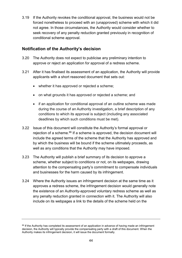<span id="page-45-1"></span>3.19 If the Authority revokes the conditional approval, the business would not be forced nonetheless to proceed with an (unapproved) scheme with which it did not agree. In those circumstances, the Authority would consider whether to seek recovery of any penalty reduction granted previously in recognition of conditional scheme approval.

## <span id="page-45-0"></span>**Notification of the Authority's decision**

- 3.20 The Authority does not expect to publicise any preliminary intention to approve or reject an application for approval of a redress scheme.
- 3.21 After it has finalised its assessment of an application, the Authority will provide applicants with a short reasoned document that sets out:
	- whether it has approved or rejected a scheme;
	- on what grounds it has approved or rejected a scheme; and
	- if an application for conditional approval of an outline scheme was made during the course of an Authority investigation, a brief description of any conditions to which its approval is subject (including any associated deadlines by which such conditions must be met).
- 3.22 Issue of this document will constitute the Authority's formal approval or rejection of a scheme.<sup>86</sup> If a scheme is approved, the decision document will include the agreed terms of the scheme that the Authority has approved and by which the business will be bound if the scheme ultimately proceeds, as well as any conditions that the Authority may have imposed.
- 3.23 The Authority will publish a brief summary of its decision to approve a scheme, whether subject to conditions or not, on its webpages, drawing attention to the compensating party's commitment to compensate individuals and businesses for the harm caused by its infringement.
- 3.24 Where the Authority issues an infringement decision at the same time as it approves a redress scheme, the infringement decision would generally note the existence of an Authority-approved voluntary redress scheme as well as any penalty reduction granted in connection with it. The Authority will also include on its webpages a link to the details of the scheme held on the

<sup>&</sup>lt;sup>86</sup> If the Authority has completed its assessment of an application in advance of having made an infringement decision, the Authority will typically provide the compensating party with a draft of this document. When the Authority makes its infringement decision, it will issue the document formally.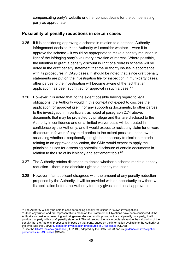compensating party's website or other contact details for the compensating party as appropriate.

## <span id="page-46-0"></span>**Possibility of penalty reductions in certain cases**

- 3.25 If it is considering approving a scheme in relation to a potential Authority infringement decision,  $87$  the Authority will consider whether – were it to approve the scheme – it would be appropriate to make a penalty reduction in light of the infringing party's voluntary provision of redress. Where possible, the intention to grant a penalty discount in light of a redress scheme will be noted in the draft penalty statement that the Authority issues in accordance with its procedures in CA98 cases. It should be noted that, since draft penalty statements are put on the investigation file for inspection in multi-party cases, other parties to the investigation will become aware of the fact that an application has been submitted for approval in such a case. 88
- 3.26 However, it is noted that, to the extent possible having regard to legal obligations, the Authority would in this context not expect to disclose the application for approval itself, nor any supporting documents, to other parties to the investigation. In particular, as noted at paragraph [2.74](#page-34-0) above, documents that may be protected by privilege and that are disclosed to the Authority in confidence and on a limited waiver basis will be treated in confidence by the Authority, and it would expect to resist any claim for onward disclosure in favour of any third parties to the extent possible under law. In assessing whether exceptionally it might be necessary to disclose material relating to an approved application, the CMA would expect to apply the principles it uses for assessing potential disclosure of certain documents in relation to the use of its leniency and settlement tools.<sup>89</sup>
- 3.27 The Authority retains discretion to decide whether a scheme merits a penalty reduction – there is no absolute right to a penalty reduction.
- 3.28 However, if an applicant disagrees with the amount of any penalty reduction proposed by the Authority, it will be provided with an opportunity to withdraw its application before the Authority formally gives conditional approval to the

88 Once any written and oral representations made on the Statement of Objections have been considered, if the Authority is considering reaching an infringement decision and imposing a financial penalty on a party, it will provide that party with a draft penalty statement. This will set out the key aspects relevant to the calculation of the penalty that the Authority proposes to impose on that party, based on the information available to the Authority at the time. See the CMA's [guidance on investigation procedures in CA98 cases](https://www.gov.uk/government/uploads/system/uploads/attachment_data/file/288636/CMA8_CA98_Guidance_on_the_CMA_investigation_procedures.pdf) (CMA8).

<sup>&</sup>lt;sup>87</sup> The Authority will only be able to consider making penalty reductions in its own investigations.

<sup>89</sup> See th[e CMA's leniency guidance \(](https://www.gov.uk/government/uploads/system/uploads/attachment_data/file/284417/OFT1495.pdf)OFT1495, adopted by the CMA Board) and its quidance on investigation [procedures in CA98 cases](https://www.gov.uk/government/uploads/system/uploads/attachment_data/file/288636/CMA8_CA98_Guidance_on_the_CMA_investigation_procedures.pdf) (CMA8).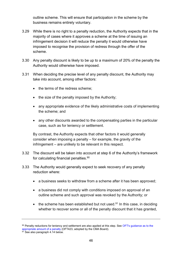outline scheme. This will ensure that participation in the scheme by the business remains entirely voluntary.

- 3.29 While there is no right to a penalty reduction, the Authority expects that in the majority of cases where it approves a scheme at the time of issuing an infringement decision it will reduce the penalty it would otherwise have imposed to recognise the provision of redress through the offer of the scheme.
- 3.30 Any penalty discount is likely to be up to a maximum of 20% of the penalty the Authority would otherwise have imposed.
- 3.31 When deciding the precise level of any penalty discount, the Authority may take into account, among other factors:
	- the terms of the redress scheme;
	- the size of the penalty imposed by the Authority:
	- any appropriate evidence of the likely administrative costs of implementing the scheme; and
	- any other discounts awarded to the compensating parties in the particular case, such as for leniency or settlement.

By contrast, the Authority expects that other factors it would generally consider when imposing a penalty – for example, the gravity of the infringement – are unlikely to be relevant in this respect.

- 3.32 The discount will be taken into account at step 6 of the Authority's framework for calculating financial penalties.<sup>90</sup>
- 3.33 The Authority would generally expect to seek recovery of any penalty reduction where:
	- a business seeks to withdraw from a scheme after it has been approved;
	- a business did not comply with conditions imposed on approval of an outline scheme and such approval was revoked by the Authority; or
	- $\bullet$  the scheme has been established but not used.<sup>91</sup> In this case, in deciding whether to recover some or all of the penalty discount that it has granted,

<sup>90</sup> Penalty reductions for leniency and settlement are also applied at this step. See OFT's guidance as to the [appropriate amount of a penalty](https://www.gov.uk/government/uploads/system/uploads/attachment_data/file/284393/oft423.pdf) (OFT423, adopted by the CMA Board).

<sup>&</sup>lt;sup>91</sup> See also paragraph [4.14](#page-52-0) below.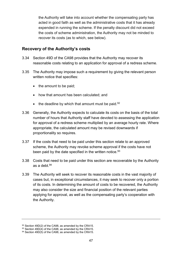the Authority will take into account whether the compensating party has acted in good faith as well as the administrative costs that it has already expended in running the scheme. If the penalty discount did not exceed the costs of scheme administration, the Authority may not be minded to recover its costs (as to which, see below).

### <span id="page-48-0"></span>**Recovery of the Authority's costs**

- 3.34 Section 49D of the CA98 provides that the Authority may recover its reasonable costs relating to an application for approval of a redress scheme.
- 3.35 The Authority may impose such a requirement by giving the relevant person written notice that specifies:
	- $\bullet$  the amount to be paid;
	- how that amount has been calculated; and
	- $\bullet$  the deadline by which that amount must be paid. <sup>92</sup>
- 3.36 Generally, the Authority expects to calculate its costs on the basis of the total number of hours that Authority staff have devoted to assessing the application for approval of a redress scheme multiplied by an average hourly rate. Where appropriate, the calculated amount may be revised downwards if proportionality so requires.
- 3.37 If the costs that need to be paid under this section relate to an approved scheme, the Authority may revoke scheme approval if the costs have not been paid by the date specified in the written notice.<sup>93</sup>
- 3.38 Costs that need to be paid under this section are recoverable by the Authority as a debt.  $94$
- 3.39 The Authority will seek to recover its reasonable costs in the vast majority of cases but, in exceptional circumstances, it may seek to recover only a portion of its costs. In determining the amount of costs to be recovered, the Authority may also consider the size and financial position of the relevant parties applying for approval, as well as the compensating party's cooperation with the Authority.

<sup>92</sup> Section 49D(2) of the CA98, as amended by the CRA15.

 $93$  Section 49D(4) of the CA98, as amended by the CRA15.

<sup>94</sup> Section 49D(5) of the CA98, as amended by the CRA15.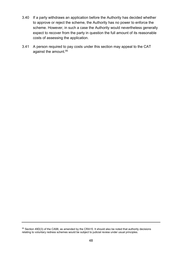- 3.40 If a party withdraws an application before the Authority has decided whether to approve or reject the scheme, the Authority has no power to enforce the scheme. However, in such a case the Authority would nevertheless generally expect to recover from the party in question the full amount of its reasonable costs of assessing the application.
- 3.41 A person required to pay costs under this section may appeal to the CAT against the amount.<sup>95</sup>

<sup>95</sup> Section 49D(3) of the CA98, as amended by the CRA15. It should also be noted that authority decisions relating to voluntary redress schemes would be subject to judicial review under usual principles.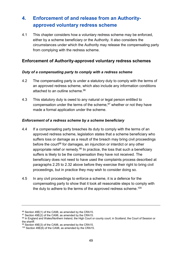# <span id="page-50-0"></span>**4. Enforcement of and release from an Authorityapproved voluntary redress scheme**

4.1 This chapter considers how a voluntary redress scheme may be enforced, either by a scheme beneficiary or the Authority. It also considers the circumstances under which the Authority may release the compensating party from complying with the redress scheme.

## <span id="page-50-1"></span>**Enforcement of Authority-approved voluntary redress schemes**

#### *Duty of a compensating party to comply with a redress scheme*

- 4.2 The compensating party is under a statutory duty to comply with the terms of an approved redress scheme, which also include any information conditions attached to an outline scheme. 96
- 4.3 This statutory duty is owed to any natural or legal person entitled to compensation under the terms of the scheme, <sup>97</sup> whether or not they have made a formal application under the scheme.

#### *Enforcement of a redress scheme by a scheme beneficiary*

- 4.4 If a compensating party breaches its duty to comply with the terms of an approved redress scheme, legislation states that a scheme beneficiary who suffers loss or damage as a result of the breach may bring civil proceedings before the court<sup>98</sup> for damages, an injunction or interdict or any other appropriate relief or remedy.<sup>99</sup> In practice, the loss that such a beneficiary suffers is likely to be the compensation they have not received. The beneficiary does not need to have used the complaints process described at paragraphs [2.25](#page-23-0) to [2.32](#page-24-0) above before they exercise their right to bring civil proceedings, but in practice they may wish to consider doing so.
- 4.5 In any civil proceedings to enforce a scheme, it is a defence for the compensating party to show that it took all reasonable steps to comply with the duty to adhere to the terms of the approved redress scheme.<sup>100</sup>

<sup>96</sup> Section 49E(1) of the CA98, as amended by the CRA15.

 $97$  Section 49E(2) of the CA98, as amended by the CRA15.

<sup>98</sup> In England and Wales/Northern Ireland, the High Court or county court; in Scotland, the Court of Session or the sheriff.

<sup>99</sup> Section 49E(3) of the CA98, as amended by the CRA15.

<sup>100</sup> Section 49E(6) of the CA98, as amended by the CRA15.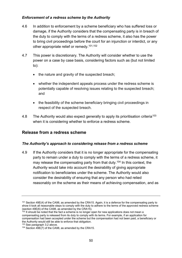#### *Enforcement of a redress scheme by the Authority*

- 4.6 In addition to enforcement by a scheme beneficiary who has suffered loss or damage, if the Authority considers that the compensating party is in breach of the duty to comply with the terms of a redress scheme, it also has the power to bring civil proceedings before the court for an injunction or interdict, or any other appropriate relief or remedy.101,102
- 4.7 This power is discretionary. The Authority will consider whether to use the power on a case by case basis, considering factors such as (but not limited to):
	- the nature and gravity of the suspected breach;
	- whether the independent appeals process under the redress scheme is potentially capable of resolving issues relating to the suspected breach; and
	- the feasibility of the scheme beneficiary bringing civil proceedings in respect of the suspected breach.
- 4.8 The Authority would also expect generally to apply its prioritisation criteria<sup>103</sup> when it is considering whether to enforce a redress scheme.

## <span id="page-51-0"></span>**Release from a redress scheme**

#### *The Authority's approach to considering release from a redress scheme*

4.9 If the Authority considers that it is no longer appropriate for the compensating party to remain under a duty to comply with the terms of a redress scheme, it may release the compensating party from that duty.<sup>104</sup> In this context, the Authority would take into account the desirability of giving appropriate notification to beneficiaries under the scheme. The Authority would also consider the desirability of ensuring that any person who had relied reasonably on the scheme as their means of achieving compensation, and as

<sup>101</sup> Section 49E(4) of the CA98, as amended by the CRA15. Again, it is a defence for the compensating party to show it took all reasonable steps to comply with the duty to adhere to the terms of the approved redress scheme (section 49E(6) of the CA98, as amended by the CRA15).

 $102$  It should be noted that the fact a scheme is no longer open for new applications does not mean a compensating party is released from its duty to comply with its terms. For example, if an application for compensation had been accepted under the scheme but the compensation had not been paid, a beneficiary or the Authority would still be able to enforce that obligation.

<sup>103</sup> See paragrap[h 3.2](#page-37-2) above.

<sup>104</sup> Section 49E(7) of the CA98, as amended by the CRA15.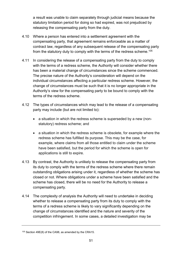a result was unable to claim separately through judicial means because the statutory limitation period for doing so had expired, was not prejudiced by releasing the compensating party from the duty.

- 4.10 Where a person has entered into a settlement agreement with the compensating party, that agreement remains enforceable as a matter of contract law, regardless of any subsequent release of the compensating party from the statutory duty to comply with the terms of the redress scheme.<sup>105</sup>
- 4.11 In considering the release of a compensating party from the duty to comply with the terms of a redress scheme, the Authority will consider whether there has been a material change of circumstances since the scheme commenced. The precise nature of the Authority's consideration will depend on the individual circumstances affecting a particular redress scheme. However, the change of circumstances must be such that it is no longer appropriate in the Authority's view for the compensating party to be bound to comply with the terms of the redress scheme.
- 4.12 The types of circumstances which may lead to the release of a compensating party may include (but are not limited to):
	- a situation in which the redress scheme is superseded by a new (nonstatutory) redress scheme; and
	- a situation in which the redress scheme is obsolete, for example where the redress scheme has fulfilled its purpose. This may be the case, for example, where claims from all those entitled to claim under the scheme have been satisfied, but the period for which the scheme is open for applications is still to expire.
- 4.13 By contrast, the Authority is unlikely to release the compensating party from its duty to comply with the terms of the redress scheme where there remain outstanding obligations arising under it, regardless of whether the scheme has closed or not. Where obligations under a scheme have been satisfied and the scheme has closed, there will be no need for the Authority to release a compensating party.
- <span id="page-52-0"></span>4.14 The complexity of analysis the Authority will need to undertake in deciding whether to release a compensating party from its duty to comply with the terms of a redress scheme is likely to vary significantly depending on the change of circumstances identified and the nature and severity of the competition infringement. In some cases, a detailed investigation may be

<sup>105</sup> Section 49E(8) of the CA98, as amended by the CRA15.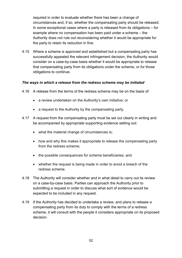required in order to evaluate whether there has been a change of circumstances and, if so, whether the compensating party should be released. In some exceptional cases where a party is released from its obligations – for example where no compensation has been paid under a scheme – the Authority does not rule out reconsidering whether it would be appropriate for the party to retain its reduction in fine.

4.15 Where a scheme is approved and established but a compensating party has successfully appealed the relevant infringement decision, the Authority would consider on a case-by-case basis whether it would be appropriate to release that compensating party from its obligations under the scheme, or for those obligations to continue.

#### *The ways in which a release from the redress scheme may be initiated*

- 4.16 A release from the terms of the redress scheme may be on the basis of:
	- a review undertaken on the Authority's own initiative; or
	- a request to the Authority by the compensating party.
- 4.17 A request from the compensating party must be set out clearly in writing and be accompanied by appropriate supporting evidence setting out:
	- what the material change of circumstances is;
	- how and why this makes it appropriate to release the compensating party from the redress scheme;
	- the possible consequences for scheme beneficiaries; and
	- whether the request is being made in order to avoid a breach of the redress scheme.
- 4.18 The Authority will consider whether and in what detail to carry out its review on a case-by-case basis. Parties can approach the Authority prior to submitting a request in order to discuss what sort of evidence would be expected to be included in any request.
- 4.19 If the Authority has decided to undertake a review, and plans to release a compensating party from its duty to comply with the terms of a redress scheme, it will consult with the people it considers appropriate on its proposed decision.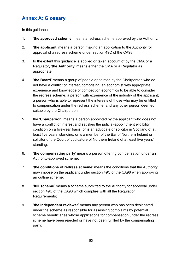## <span id="page-54-0"></span>**Annex A: Glossary**

In this guidance:

- 1. '**the approved scheme**' means a redress scheme approved by the Authority;
- 2. '**the applicant**' means a person making an application to the Authority for approval of a redress scheme under section 49C of the CA98;
- 3. to the extent this guidance is applied or taken account of by the CMA or a Regulator, '**the Authority**' means either the CMA or a Regulator as appropriate;
- 4. '**the Board**' means a group of people appointed by the Chairperson who do not have a conflict of interest, comprising: an economist with appropriate experience and knowledge of competition economics to be able to consider the redress scheme; a person with experience of the industry of the applicant; a person who is able to represent the interests of those who may be entitled to compensation under the redress scheme; and any other person deemed suitable by the Chairperson;
- 5. the '**Chairperson**' means a person appointed by the applicant who does not have a conflict of interest and satisfies the judicial-appointment eligibility condition on a five-year basis, or is an advocate or solicitor in Scotland of at least five years' standing, or is a member of the Bar of Northern Ireland or solicitor of the Court of Judicature of Northern Ireland of at least five years' standing;
- 6. '**the compensating party**' means a person offering compensation under an Authority-approved scheme;
- 7. '**the conditions of redress scheme**' means the conditions that the Authority may impose on the applicant under section 49C of the CA98 when approving an outline scheme;
- 8. '**full scheme**' means a scheme submitted to the Authority for approval under section 49C of the CA98 which complies with all the Regulation Requirements;
- 9. '**the independent reviewer**' means any person who has been designated under the scheme as responsible for assessing complaints by potential scheme beneficiaries whose applications for compensation under the redress scheme have been rejected or have not been fulfilled by the compensating party;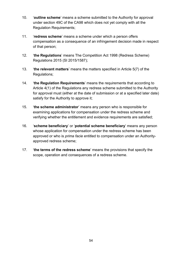- 10. '**outline scheme**' means a scheme submitted to the Authority for approval under section 49C of the CA98 which does not yet comply with all the Regulation Requirements;
- 11. '**redress scheme**' means a scheme under which a person offers compensation as a consequence of an infringement decision made in respect of that person;
- 12. '**the Regulations**' means The Competition Act 1998 (Redress Scheme) Regulations 2015 (SI 2015/1587);
- 13. '**the relevant matters**' means the matters specified in Article 5(7) of the Regulations;
- 14. '**the Regulation Requirements**' means the requirements that according to Article 4(1) of the Regulations any redress scheme submitted to the Authority for approval must (either at the date of submission or at a specified later date) satisfy for the Authority to approve it;
- 15. '**the scheme administrator**' means any person who is responsible for examining applications for compensation under the redress scheme and verifying whether the entitlement and evidence requirements are satisfied;
- 16. '**scheme beneficiary**' or '**potential scheme beneficiary**' means any person whose application for compensation under the redress scheme has been approved or who is *prima facie* entitled to compensation under an Authorityapproved redress scheme;
- 17. '**the terms of the redress scheme**' means the provisions that specify the scope, operation and consequences of a redress scheme.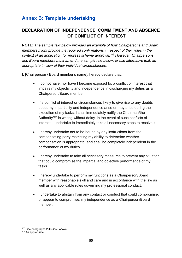## <span id="page-56-0"></span>**Annex B: Template undertaking**

## **DECLARATION OF INDEPENDENCE, COMMITMENT AND ABSENCE OF CONFLICT OF INTEREST**

**NOTE**: *The sample text below provides an example of how Chairpersons and Board members might provide the required confirmations in respect of their roles in the context of an application for redress scheme approval.*<sup>106</sup> *However, Chairpersons and Board members must amend the sample text below, or use alternative text, as appropriate in view of their individual circumstances.* 

I, [Chairperson / Board member's name], hereby declare that:

- I do not have, nor have I become exposed to, a conflict of interest that impairs my objectivity and independence in discharging my duties as a Chairperson/Board member.
- If a conflict of interest or circumstances likely to give rise to any doubts about my impartiality and independence arise or may arise during the execution of my tasks, I shall immediately notify the Chairman/the Authority<sup>107</sup> in writing without delay. In the event of such conflicts of interest, I undertake to immediately take all necessary steps to resolve it.
- I hereby undertake not to be bound by any instructions from the compensating party restricting my ability to determine whether compensation is appropriate, and shall be completely independent in the performance of my duties.
- I hereby undertake to take all necessary measures to prevent any situation that could compromise the impartial and objective performance of my tasks.
- I hereby undertake to perform my functions as a Chairperson/Board member with reasonable skill and care and in accordance with the law as well as any applicable rules governing my professional conduct.
- I undertake to abstain from any contact or conduct that could compromise, or appear to compromise, my independence as a Chairperson/Board member.

<sup>106</sup> See paragraphs [2.43](#page-27-0)[–2.59](#page-30-0) above.

<sup>107</sup> As appropriate.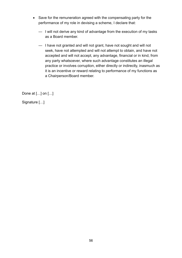- Save for the remuneration agreed with the compensating party for the performance of my role in devising a scheme, I declare that:
	- I will not derive any kind of advantage from the execution of my tasks as a Board member.
	- I have not granted and will not grant, have not sought and will not seek, have not attempted and will not attempt to obtain, and have not accepted and will not accept, any advantage, financial or in kind, from any party whatsoever, where such advantage constitutes an illegal practice or involves corruption, either directly or indirectly, inasmuch as it is an incentive or reward relating to performance of my functions as a Chairperson/Board member.

Done at […] on […]

Signature […]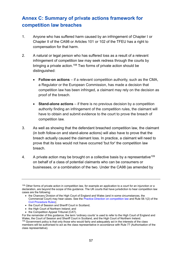## <span id="page-58-0"></span>**Annex C: Summary of private actions framework for competition law breaches**

- 1. Anyone who has suffered harm caused by an infringement of Chapter I or Chapter II of the CA98 or Articles 101 or 102 of the TFEU has a right to compensation for that harm.
- 2. A natural or legal person who has suffered loss as a result of a relevant infringement of competition law may seek redress through the courts by bringing a private action.<sup>108</sup> Two forms of private action should be distinguished:
	- **Follow-on actions** *–* if a relevant competition authority, such as the CMA, a Regulator or the European Commission, has made a decision that competition law has been infringed, a claimant may rely on the decision as proof of the breach.
	- **Stand-alone actions** if there is no previous decision by a competition authority finding an infringement of the competition rules, the claimant will have to obtain and submit evidence to the court to prove the breach of competition law.
- 3. As well as showing that the defendant breached competition law, the claimant (in both follow-on and stand-alone actions) will also have to prove that the breach actually caused the claimant loss. In practice, a claimant will need to prove that its loss would not have occurred 'but for' the competition law breach.
- 4. A private action may be brought on a collective basis by a representative<sup>109</sup> on behalf of a class of potential claimants who can be consumers or businesses, or a combination of the two. Under the CA98 (as amended by

- the High Court of Northern Ireland; and
- the Competition Appeal Tribunal (CAT).

<sup>&</sup>lt;sup>108</sup> Other forms of private action in competition law, for example an application to a court for an injunction or a declaration, are beyond the scope of this guidance. The UK courts that have jurisdiction to hear competition law cases are the following:

the Chancery Division of the High Court of England and Wales (and in some circumstances, the Commercial Court) may hear cases. See the [Practice Direction on competition law](https://www.justice.gov.uk/courts/procedure-rules/civil/rules/competitionlaw_pd) and Rule 58.1(2) of the [Civil Procedure Rules\)](https://www.justice.gov.uk/courts/procedure-rules/civil);

<sup>•</sup> the Court of Session and Sheriff Court in Scotland;

For the remainder of this guidance, the term 'ordinary courts' is used to refer to the High Court of England and Wales, the Court of Session and Sheriff Court in Scotland, and the High Court of Northern Ireland. 109 Government policy is that only those who would fairly and adequately act in the interests of the class members will be authorised to act as the class representative in accordance with Rule 77 (Authorisation of the class representative).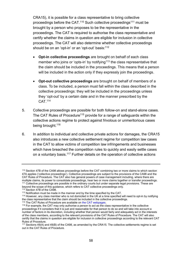CRA15), it is possible for a class representative to bring collective proceedings before the CAT.<sup>110</sup> Such collective proceedings<sup>111</sup> must be brought by a person who proposes to be the representative in the proceedings. The CAT is required to authorise the class representative and certify whether the claims in question are eligible for inclusion in collective proceedings. The CAT will also determine whether collective proceedings should be on an 'opt-in' or an 'opt-out' basis:<sup>112</sup>

- **Opt-in collective proceedings** are brought on behalf of each class member who joins or 'opts-in' by notifying<sup>113</sup> the class representative that the claim should be included in the proceedings. This means that a person will be included in the action only if they expressly join the proceedings.
- **Opt-out collective proceedings** are brought on behalf of members of a class. To be included, a person must fall within the class described in the collective proceedings: they will be included in the proceedings unless they 'opt-out' by a certain date and in the manner prescribed by the CAT.<sup>114</sup>
- 5. Collective proceedings are possible for both follow-on and stand-alone cases. The CAT Rules of Procedure<sup>115</sup> provide for a range of safeguards within the collective actions regime to protect against frivolous or unmeritorious cases being brought.<sup>116</sup>
- 6. In addition to individual and collective private actions for damages, the CRA15 also introduces a new collective settlement regime for competition law cases in the CAT to allow victims of competition law infringements and businesses which have breached the competition rules to quickly and easily settle cases on a voluntary basis.<sup>117</sup> Further details on the operation of collective actions

<sup>110</sup> Section 47B of the CA98 allows proceedings before the CAT combining two or more claims to which section 47A applies ('collective proceedings'). Collective proceedings are subject to the provisions of the CA98 and the CAT Rules of Procedure. The CAT also has general powers of case management including, where there are multiple claims, its power to consolidate proceedings, hear two or more claims together or transfer proceedings. <sup>111</sup> Collective proceedings are possible in the ordinary courts but under separate legal provisions. These are beyond the scope of this guidance, which refers to CAT collective proceedings only.

<sup>112</sup> Section 47B of the CA98.

<sup>113</sup> Notification must be made in the manner and by the time specified by the CAT.

<sup>114</sup> However, any class member who is not domiciled in the UK at a time specified will need to opt-in by notifying the class representative that the claim should be included in the collective proceedings.

<sup>&</sup>lt;sup>115</sup> The CAT Rules of Procedure are available o[n the CAT webpages.](http://www.catribunal.org.uk/)

<sup>&</sup>lt;sup>116</sup> For example, the CAT may only authorise a person to act as the class representative in the collective proceedings if it considers that it is just and reasonable for that person to do so and will take into account a number of factors in its discretion, including whether that person would fairly and adequately act in the interests of the class members, according to the relevant provisions of the CAT Rules of Procedure. The CAT will also certify that the claims in question are eligible for inclusion in collective proceedings according to the relevant CAT Rules of Procedure.

<sup>117</sup> Sections 49(A) and 49(B) of the CA98, as amended by the CRA15. The collective settlements regime is set out in the CAT Rules of Procedure.